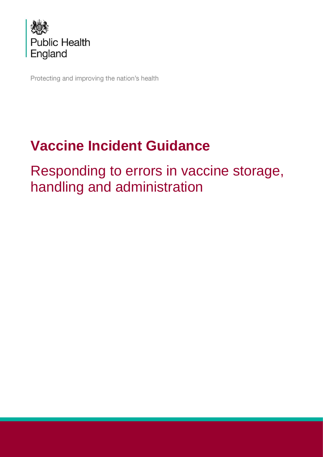

Protecting and improving the nation's health

# **Vaccine Incident Guidance**

Responding to errors in vaccine storage, handling and administration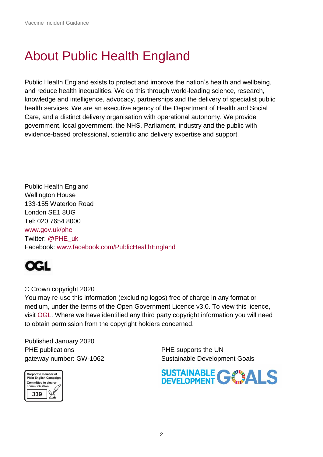## <span id="page-1-0"></span>About Public Health England

Public Health England exists to protect and improve the nation's health and wellbeing, and reduce health inequalities. We do this through world-leading science, research, knowledge and intelligence, advocacy, partnerships and the delivery of specialist public health services. We are an executive agency of the Department of Health and Social Care, and a distinct delivery organisation with operational autonomy. We provide government, local government, the NHS, Parliament, industry and the public with evidence-based professional, scientific and delivery expertise and support.

Public Health England Wellington House 133-155 Waterloo Road London SE1 8UG Tel: 020 7654 8000 [www.gov.uk/phe](http://www.gov.uk/phe) Twitter: [@PHE\\_uk](https://twitter.com/PHE_uk) Facebook: [www.facebook.com/PublicHealthEngland](http://www.facebook.com/PublicHealthEngland)



#### © Crown copyright 2020

You may re-use this information (excluding logos) free of charge in any format or medium, under the terms of the Open Government Licence v3.0. To view this licence, visit [OGL.](https://www.nationalarchives.gov.uk/doc/open-government-licence/version/3/) Where we have identified any third party copyright information you will need to obtain permission from the copyright holders concerned.

Published January 2020 PHE publications **PHE** supports the UN

gateway number: GW-1062 Sustainable Development Goals



SUSTAINABLE GWALS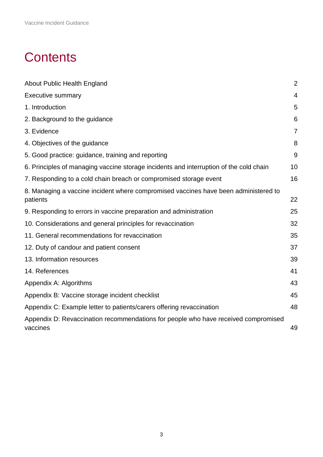## **Contents**

| <b>About Public Health England</b>                                                              | $\overline{2}$ |
|-------------------------------------------------------------------------------------------------|----------------|
| <b>Executive summary</b>                                                                        | $\overline{4}$ |
| 1. Introduction                                                                                 | 5              |
| 2. Background to the guidance                                                                   | 6              |
| 3. Evidence                                                                                     | $\overline{7}$ |
| 4. Objectives of the guidance                                                                   | 8              |
| 5. Good practice: guidance, training and reporting                                              | 9              |
| 6. Principles of managing vaccine storage incidents and interruption of the cold chain          | 10             |
| 7. Responding to a cold chain breach or compromised storage event                               | 16             |
| 8. Managing a vaccine incident where compromised vaccines have been administered to<br>patients | 22             |
| 9. Responding to errors in vaccine preparation and administration                               | 25             |
| 10. Considerations and general principles for revaccination                                     | 32             |
| 11. General recommendations for revaccination                                                   | 35             |
| 12. Duty of candour and patient consent                                                         | 37             |
| 13. Information resources                                                                       | 39             |
| 14. References                                                                                  | 41             |
| Appendix A: Algorithms                                                                          | 43             |
| Appendix B: Vaccine storage incident checklist                                                  | 45             |
| Appendix C: Example letter to patients/carers offering revaccination                            | 48             |
| Appendix D: Revaccination recommendations for people who have received compromised<br>vaccines  | 49             |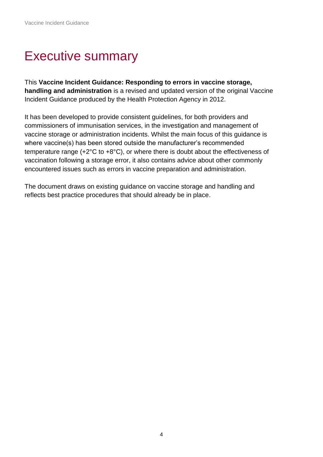## <span id="page-3-0"></span>Executive summary

This **Vaccine Incident Guidance: Responding to errors in vaccine storage, handling and administration** is a revised and updated version of the original Vaccine Incident Guidance produced by the Health Protection Agency in 2012.

It has been developed to provide consistent guidelines, for both providers and commissioners of immunisation services, in the investigation and management of vaccine storage or administration incidents. Whilst the main focus of this guidance is where vaccine(s) has been stored outside the manufacturer's recommended temperature range (+2°C to +8°C), or where there is doubt about the effectiveness of vaccination following a storage error, it also contains advice about other commonly encountered issues such as errors in vaccine preparation and administration.

The document draws on existing guidance on vaccine storage and handling and reflects best practice procedures that should already be in place.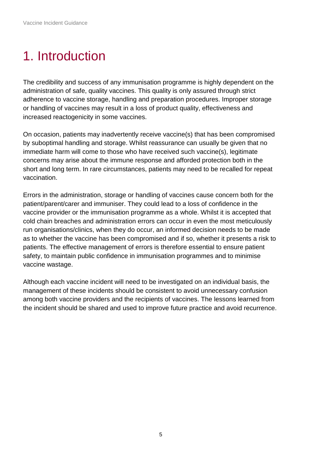## <span id="page-4-0"></span>1. Introduction

The credibility and success of any immunisation programme is highly dependent on the administration of safe, quality vaccines. This quality is only assured through strict adherence to vaccine storage, handling and preparation procedures. Improper storage or handling of vaccines may result in a loss of product quality, effectiveness and increased reactogenicity in some vaccines.

On occasion, patients may inadvertently receive vaccine(s) that has been compromised by suboptimal handling and storage. Whilst reassurance can usually be given that no immediate harm will come to those who have received such vaccine(s), legitimate concerns may arise about the immune response and afforded protection both in the short and long term. In rare circumstances, patients may need to be recalled for repeat vaccination.

Errors in the administration, storage or handling of vaccines cause concern both for the patient/parent/carer and immuniser. They could lead to a loss of confidence in the vaccine provider or the immunisation programme as a whole. Whilst it is accepted that cold chain breaches and administration errors can occur in even the most meticulously run organisations/clinics, when they do occur, an informed decision needs to be made as to whether the vaccine has been compromised and if so, whether it presents a risk to patients. The effective management of errors is therefore essential to ensure patient safety, to maintain public confidence in immunisation programmes and to minimise vaccine wastage.

<span id="page-4-1"></span>Although each vaccine incident will need to be investigated on an individual basis, the management of these incidents should be consistent to avoid unnecessary confusion among both vaccine providers and the recipients of vaccines. The lessons learned from the incident should be shared and used to improve future practice and avoid recurrence.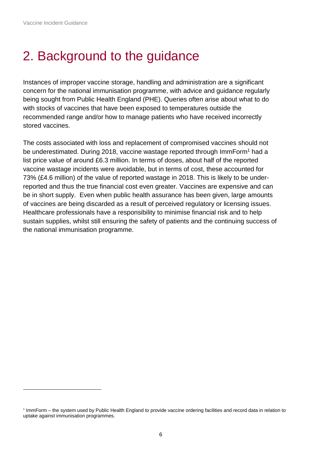l

## 2. Background to the guidance

Instances of improper vaccine storage, handling and administration are a significant concern for the national immunisation programme, with advice and guidance regularly being sought from Public Health England (PHE). Queries often arise about what to do with stocks of vaccines that have been exposed to temperatures outside the recommended range and/or how to manage patients who have received incorrectly stored vaccines.

<span id="page-5-0"></span>The costs associated with loss and replacement of compromised vaccines should not be underestimated. During 2018, vaccine wastage reported through ImmForm<sup>1</sup> had a list price value of around £6.3 million. In terms of doses, about half of the reported vaccine wastage incidents were avoidable, but in terms of cost, these accounted for 73% (£4.6 million) of the value of reported wastage in 2018. This is likely to be underreported and thus the true financial cost even greater. Vaccines are expensive and can be in short supply. Even when public health assurance has been given, large amounts of vaccines are being discarded as a result of perceived regulatory or licensing issues. Healthcare professionals have a responsibility to minimise financial risk and to help sustain supplies, whilst still ensuring the safety of patients and the continuing success of the national immunisation programme.

<sup>&</sup>lt;sup>1</sup> ImmForm – the system used by Public Health England to provide vaccine ordering facilities and record data in relation to uptake against immunisation programmes.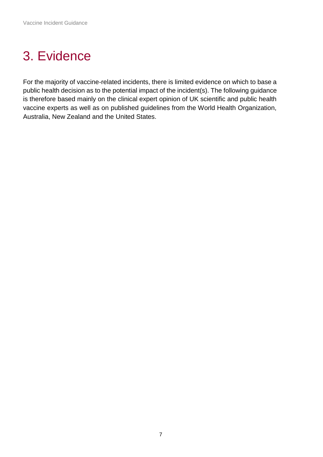## 3. Evidence

<span id="page-6-0"></span>For the majority of vaccine-related incidents, there is limited evidence on which to base a public health decision as to the potential impact of the incident(s). The following guidance is therefore based mainly on the clinical expert opinion of UK scientific and public health vaccine experts as well as on published guidelines from the World Health Organization, Australia, New Zealand and the United States.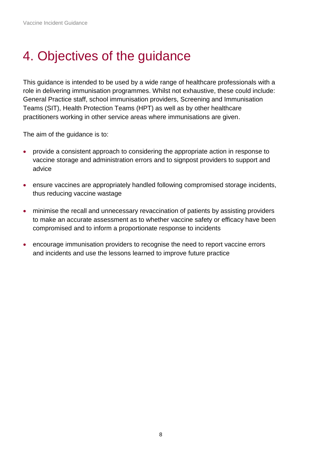## 4. Objectives of the guidance

This guidance is intended to be used by a wide range of healthcare professionals with a role in delivering immunisation programmes. Whilst not exhaustive, these could include: General Practice staff, school immunisation providers, Screening and Immunisation Teams (SIT), Health Protection Teams (HPT) as well as by other healthcare practitioners working in other service areas where immunisations are given.

The aim of the guidance is to:

- provide a consistent approach to considering the appropriate action in response to vaccine storage and administration errors and to signpost providers to support and advice
- ensure vaccines are appropriately handled following compromised storage incidents, thus reducing vaccine wastage
- minimise the recall and unnecessary revaccination of patients by assisting providers to make an accurate assessment as to whether vaccine safety or efficacy have been compromised and to inform a proportionate response to incidents
- <span id="page-7-0"></span>• encourage immunisation providers to recognise the need to report vaccine errors and incidents and use the lessons learned to improve future practice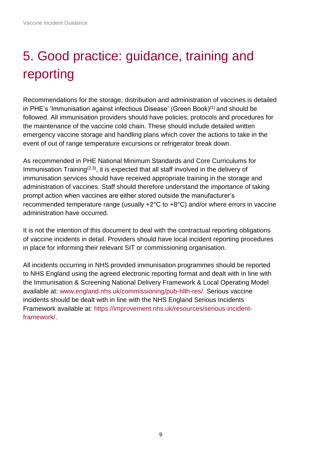# 5. Good practice: guidance, training and reporting

Recommendations for the storage, distribution and administration of vaccines is detailed in PHE's 'Immunisation against infectious Disease' (Green Book)(1) and should be followed. All immunisation providers should have policies, protocols and procedures for the maintenance of the vaccine cold chain. These should include detailed written emergency vaccine storage and handling plans which cover the actions to take in the event of out of range temperature excursions or refrigerator break down.

As recommended in PHE National Minimum Standards and Core Curriculums for Immunisation Training<sup> $(2,3)$ </sup>, it is expected that all staff involved in the delivery of immunisation services should have received appropriate training in the storage and administration of vaccines. Staff should therefore understand the importance of taking prompt action when vaccines are either stored outside the manufacturer's recommended temperature range (usually +2°C to +8°C) and/or where errors in vaccine administration have occurred.

It is not the intention of this document to deal with the contractual reporting obligations of vaccine incidents in detail. Providers should have local incident reporting procedures in place for informing their relevant SIT or commissioning organisation.

<span id="page-8-0"></span>All incidents occurring in NHS provided immunisation programmes should be reported to NHS England using the agreed electronic reporting format and dealt with in line with the Immunisation & Screening National Delivery Framework & Local Operating Model available at: [www.england.nhs.uk/commissioning/pub-hlth-res/.](https://www.england.nhs.uk/commissioning/pub-hlth-res/) Serious vaccine incidents should be dealt with in line with the NHS England Serious Incidents Framework available at: [https://improvement.nhs.uk/resources/serious-incident](https://improvement.nhs.uk/resources/serious-incident-framework/)[framework/.](https://improvement.nhs.uk/resources/serious-incident-framework/)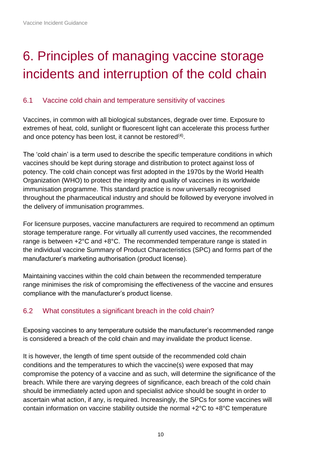## 6. Principles of managing vaccine storage incidents and interruption of the cold chain

#### 6.1 Vaccine cold chain and temperature sensitivity of vaccines

Vaccines, in common with all biological substances, degrade over time. Exposure to extremes of heat, cold, sunlight or fluorescent light can accelerate this process further and once potency has been lost, it cannot be restored $(4)$ .

The 'cold chain' is a term used to describe the specific temperature conditions in which vaccines should be kept during storage and distribution to protect against loss of potency. The cold chain concept was first adopted in the 1970s by the World Health Organization (WHO) to protect the integrity and quality of vaccines in its worldwide immunisation programme. This standard practice is now universally recognised throughout the pharmaceutical industry and should be followed by everyone involved in the delivery of immunisation programmes.

For licensure purposes, vaccine manufacturers are required to recommend an optimum storage temperature range. For virtually all currently used vaccines, the recommended range is between +2°C and +8°C. The recommended temperature range is stated in the individual vaccine Summary of Product Characteristics (SPC) and forms part of the manufacturer's marketing authorisation (product license).

Maintaining vaccines within the cold chain between the recommended temperature range minimises the risk of compromising the effectiveness of the vaccine and ensures compliance with the manufacturer's product license.

#### 6.2 What constitutes a significant breach in the cold chain?

Exposing vaccines to any temperature outside the manufacturer's recommended range is considered a breach of the cold chain and may invalidate the product license.

It is however, the length of time spent outside of the recommended cold chain conditions and the temperatures to which the vaccine(s) were exposed that may compromise the potency of a vaccine and as such, will determine the significance of the breach. While there are varying degrees of significance, each breach of the cold chain should be immediately acted upon and specialist advice should be sought in order to ascertain what action, if any, is required. Increasingly, the SPCs for some vaccines will contain information on vaccine stability outside the normal +2°C to +8°C temperature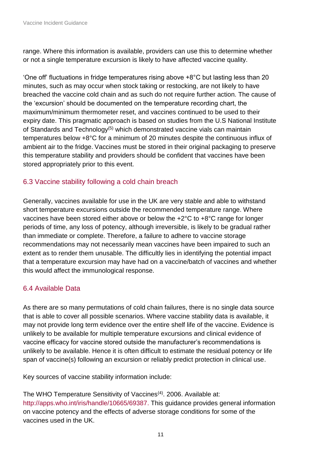range. Where this information is available, providers can use this to determine whether or not a single temperature excursion is likely to have affected vaccine quality.

'One off' fluctuations in fridge temperatures rising above +8°C but lasting less than 20 minutes, such as may occur when stock taking or restocking, are not likely to have breached the vaccine cold chain and as such do not require further action. The cause of the 'excursion' should be documented on the temperature recording chart, the maximum/minimum thermometer reset, and vaccines continued to be used to their expiry date. This pragmatic approach is based on studies from the U.S National Institute of Standards and Technology<sup>(5)</sup> which demonstrated vaccine vials can maintain temperatures below +8°C for a minimum of 20 minutes despite the continuous influx of ambient air to the fridge. Vaccines must be stored in their original packaging to preserve this temperature stability and providers should be confident that vaccines have been stored appropriately prior to this event.

### 6.3 Vaccine stability following a cold chain breach

Generally, vaccines available for use in the UK are very stable and able to withstand short temperature excursions outside the recommended temperature range. Where vaccines have been stored either above or below the +2°C to +8°C range for longer periods of time, any loss of potency, although irreversible, is likely to be gradual rather than immediate or complete. Therefore, a failure to adhere to vaccine storage recommendations may not necessarily mean vaccines have been impaired to such an extent as to render them unusable. The difficultly lies in identifying the potential impact that a temperature excursion may have had on a vaccine/batch of vaccines and whether this would affect the immunological response.

## 6.4 Available Data

As there are so many permutations of cold chain failures, there is no single data source that is able to cover all possible scenarios. Where vaccine stability data is available, it may not provide long term evidence over the entire shelf life of the vaccine. Evidence is unlikely to be available for multiple temperature excursions and clinical evidence of vaccine efficacy for vaccine stored outside the manufacturer's recommendations is unlikely to be available. Hence it is often difficult to estimate the residual potency or life span of vaccine(s) following an excursion or reliably predict protection in clinical use.

Key sources of vaccine stability information include:

The WHO Temperature Sensitivity of Vaccines<sup>(4)</sup>. 2006. Available at: [http://apps.who.int/iris/handle/10665/69387.](http://apps.who.int/iris/handle/10665/69387) This guidance provides general information on vaccine potency and the effects of adverse storage conditions for some of the vaccines used in the UK.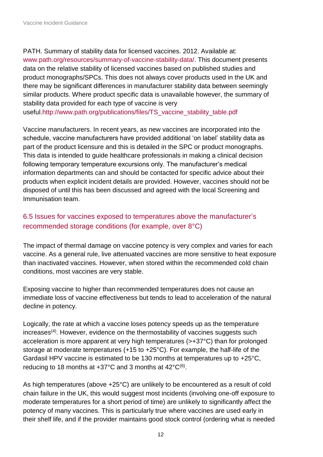PATH. Summary of stability data for licensed vaccines. 2012. Available at: [www.path.org/resources/summary-of-vaccine-stability-data/.](https://www.path.org/resources/summary-of-vaccine-stability-data/) This document presents data on the relative stability of licensed vaccines based on published studies and product monographs/SPCs. This does not always cover products used in the UK and there may be significant differences in manufacturer stability data between seemingly similar products. Where product specific data is unavailable however, the summary of stability data provided for each type of vaccine is very

useful[.http://www.path.org/publications/files/TS\\_vaccine\\_stability\\_table.pdf](http://www.path.org/publications/files/TS_vaccine_stability_table.pdf)

Vaccine manufacturers. In recent years, as new vaccines are incorporated into the schedule, vaccine manufacturers have provided additional 'on label' stability data as part of the product licensure and this is detailed in the SPC or product monographs. This data is intended to guide healthcare professionals in making a clinical decision following temporary temperature excursions only. The manufacturer's medical information departments can and should be contacted for specific advice about their products when explicit incident details are provided. However, vaccines should not be disposed of until this has been discussed and agreed with the local Screening and Immunisation team.

### 6.5 Issues for vaccines exposed to temperatures above the manufacturer's recommended storage conditions (for example, over 8°C)

The impact of thermal damage on vaccine potency is very complex and varies for each vaccine. As a general rule, live attenuated vaccines are more sensitive to heat exposure than inactivated vaccines. However, when stored within the recommended cold chain conditions, most vaccines are very stable.

Exposing vaccine to higher than recommended temperatures does not cause an immediate loss of vaccine effectiveness but tends to lead to acceleration of the natural decline in potency.

Logically, the rate at which a vaccine loses potency speeds up as the temperature increases<sup>(4)</sup>. However, evidence on the thermostability of vaccines suggests such acceleration is more apparent at very high temperatures (>+37°C) than for prolonged storage at moderate temperatures (+15 to +25°C). For example, the half-life of the Gardasil HPV vaccine is estimated to be 130 months at temperatures up to +25°C, reducing to 18 months at  $+37^{\circ}$ C and 3 months at  $42^{\circ}$ C<sup>(6)</sup>.

As high temperatures (above +25°C) are unlikely to be encountered as a result of cold chain failure in the UK, this would suggest most incidents (involving one-off exposure to moderate temperatures for a short period of time) are unlikely to significantly affect the potency of many vaccines. This is particularly true where vaccines are used early in their shelf life, and if the provider maintains good stock control (ordering what is needed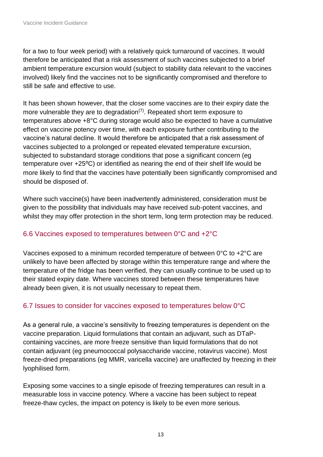for a two to four week period) with a relatively quick turnaround of vaccines. It would therefore be anticipated that a risk assessment of such vaccines subjected to a brief ambient temperature excursion would (subject to stability data relevant to the vaccines involved) likely find the vaccines not to be significantly compromised and therefore to still be safe and effective to use.

It has been shown however, that the closer some vaccines are to their expiry date the more vulnerable they are to degradation<sup> $(7)$ </sup>. Repeated short term exposure to temperatures above +8°C during storage would also be expected to have a cumulative effect on vaccine potency over time, with each exposure further contributing to the vaccine's natural decline. It would therefore be anticipated that a risk assessment of vaccines subjected to a prolonged or repeated elevated temperature excursion, subjected to substandard storage conditions that pose a significant concern (eg temperature over +25<sup>o</sup>C) or identified as nearing the end of their shelf life would be more likely to find that the vaccines have potentially been significantly compromised and should be disposed of.

Where such vaccine(s) have been inadvertently administered, consideration must be given to the possibility that individuals may have received sub-potent vaccines, and whilst they may offer protection in the short term, long term protection may be reduced.

#### 6.6 Vaccines exposed to temperatures between 0°C and +2°C

Vaccines exposed to a minimum recorded temperature of between 0°C to +2°C are unlikely to have been affected by storage within this temperature range and where the temperature of the fridge has been verified, they can usually continue to be used up to their stated expiry date. Where vaccines stored between these temperatures have already been given, it is not usually necessary to repeat them.

### 6.7 Issues to consider for vaccines exposed to temperatures below 0°C

As a general rule, a vaccine's sensitivity to freezing temperatures is dependent on the vaccine preparation. Liquid formulations that contain an adjuvant, such as DTaPcontaining vaccines, are more freeze sensitive than liquid formulations that do not contain adjuvant (eg pneumococcal polysaccharide vaccine, rotavirus vaccine). Most freeze-dried preparations (eg MMR, varicella vaccine) are unaffected by freezing in their lyophilised form.

Exposing some vaccines to a single episode of freezing temperatures can result in a measurable loss in vaccine potency. Where a vaccine has been subject to repeat freeze-thaw cycles, the impact on potency is likely to be even more serious.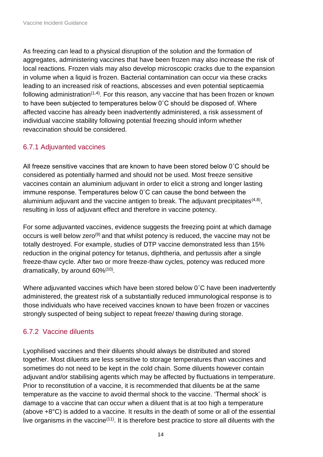As freezing can lead to a physical disruption of the solution and the formation of aggregates, administering vaccines that have been frozen may also increase the risk of local reactions. Frozen vials may also develop microscopic cracks due to the expansion in volume when a liquid is frozen. Bacterial contamination can occur via these cracks leading to an increased risk of reactions, abscesses and even potential septicaemia following administration<sup> $(1,4)$ </sup>. For this reason, any vaccine that has been frozen or known to have been subjected to temperatures below 0˚C should be disposed of. Where affected vaccine has already been inadvertently administered, a risk assessment of individual vaccine stability following potential freezing should inform whether revaccination should be considered.

### 6.7.1 Adjuvanted vaccines

All freeze sensitive vaccines that are known to have been stored below 0˚C should be considered as potentially harmed and should not be used. Most freeze sensitive vaccines contain an aluminium adjuvant in order to elicit a strong and longer lasting immune response. Temperatures below 0˚C can cause the bond between the aluminium adjuvant and the vaccine antigen to break. The adjuvant precipitates $(4,8)$ , resulting in loss of adjuvant effect and therefore in vaccine potency.

For some adjuvanted vaccines, evidence suggests the freezing point at which damage occurs is well below zero<sup>(9)</sup> and that whilst potency is reduced, the vaccine may not be totally destroyed. For example, studies of DTP vaccine demonstrated less than 15% reduction in the original potency for tetanus, diphtheria, and pertussis after a single freeze-thaw cycle. After two or more freeze-thaw cycles, potency was reduced more dramatically, by around 60%<sup>(10)</sup>.

Where adjuvanted vaccines which have been stored below 0˚C have been inadvertently administered, the greatest risk of a substantially reduced immunological response is to those individuals who have received vaccines known to have been frozen or vaccines strongly suspected of being subject to repeat freeze/ thawing during storage.

## 6.7.2 Vaccine diluents

Lyophilised vaccines and their diluents should always be distributed and stored together. Most diluents are less sensitive to storage temperatures than vaccines and sometimes do not need to be kept in the cold chain. Some diluents however contain adjuvant and/or stabilising agents which may be affected by fluctuations in temperature. Prior to reconstitution of a vaccine, it is recommended that diluents be at the same temperature as the vaccine to avoid thermal shock to the vaccine. 'Thermal shock' is damage to a vaccine that can occur when a diluent that is at too high a temperature (above +8°C) is added to a vaccine. It results in the death of some or all of the essential live organisms in the vaccine<sup>(11)</sup>. It is therefore best practice to store all diluents with the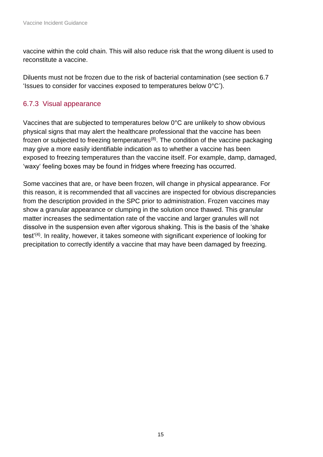vaccine within the cold chain. This will also reduce risk that the wrong diluent is used to reconstitute a vaccine.

Diluents must not be frozen due to the risk of bacterial contamination (see section 6.7 'Issues to consider for vaccines exposed to temperatures below 0°C').

#### 6.7.3 Visual appearance

Vaccines that are subjected to temperatures below 0°C are unlikely to show obvious physical signs that may alert the healthcare professional that the vaccine has been frozen or subjected to freezing temperatures<sup>(8)</sup>. The condition of the vaccine packaging may give a more easily identifiable indication as to whether a vaccine has been exposed to freezing temperatures than the vaccine itself. For example, damp, damaged, 'waxy' feeling boxes may be found in fridges where freezing has occurred.

<span id="page-14-0"></span>Some vaccines that are, or have been frozen, will change in physical appearance. For this reason, it is recommended that all vaccines are inspected for obvious discrepancies from the description provided in the SPC prior to administration. Frozen vaccines may show a granular appearance or clumping in the solution once thawed. This granular matter increases the sedimentation rate of the vaccine and larger granules will not dissolve in the suspension even after vigorous shaking. This is the basis of the 'shake test'(4). In reality, however, it takes someone with significant experience of looking for precipitation to correctly identify a vaccine that may have been damaged by freezing.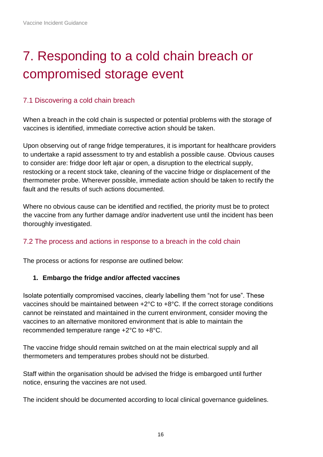# 7. Responding to a cold chain breach or compromised storage event

#### 7.1 Discovering a cold chain breach

When a breach in the cold chain is suspected or potential problems with the storage of vaccines is identified, immediate corrective action should be taken.

Upon observing out of range fridge temperatures, it is important for healthcare providers to undertake a rapid assessment to try and establish a possible cause. Obvious causes to consider are: fridge door left ajar or open, a disruption to the electrical supply, restocking or a recent stock take, cleaning of the vaccine fridge or displacement of the thermometer probe. Wherever possible, immediate action should be taken to rectify the fault and the results of such actions documented.

Where no obvious cause can be identified and rectified, the priority must be to protect the vaccine from any further damage and/or inadvertent use until the incident has been thoroughly investigated.

#### 7.2 The process and actions in response to a breach in the cold chain

The process or actions for response are outlined below:

#### **1. Embargo the fridge and/or affected vaccines**

Isolate potentially compromised vaccines, clearly labelling them "not for use". These vaccines should be maintained between +2°C to +8°C. If the correct storage conditions cannot be reinstated and maintained in the current environment, consider moving the vaccines to an alternative monitored environment that is able to maintain the recommended temperature range +2°C to +8°C.

The vaccine fridge should remain switched on at the main electrical supply and all thermometers and temperatures probes should not be disturbed.

Staff within the organisation should be advised the fridge is embargoed until further notice, ensuring the vaccines are not used.

The incident should be documented according to local clinical governance guidelines.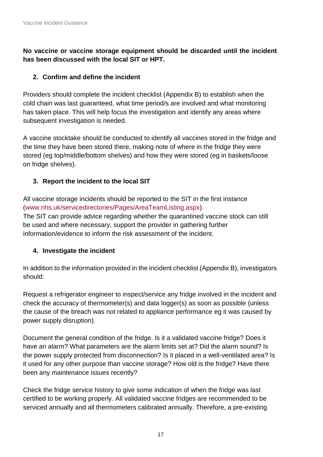#### **No vaccine or vaccine storage equipment should be discarded until the incident has been discussed with the local SIT or HPT.**

#### **2. Confirm and define the incident**

Providers should complete the incident checklist (Appendix B) to establish when the cold chain was last guaranteed, what time period/s are involved and what monitoring has taken place. This will help focus the investigation and identify any areas where subsequent investigation is needed.

A vaccine stocktake should be conducted to identify all vaccines stored in the fridge and the time they have been stored there, making note of where in the fridge they were stored (eg top/middle/bottom shelves) and how they were stored (eg in baskets/loose on fridge shelves).

#### **3. Report the incident to the local SIT**

All vaccine storage incidents should be reported to the SIT in the first instance [\(www.nhs.uk/servicedirectories/Pages/AreaTeamListing.aspx\)](http://www.nhs.uk/servicedirectories/Pages/AreaTeamListing.aspx). The SIT can provide advice regarding whether the quarantined vaccine stock can still be used and where necessary, support the provider in gathering further information/evidence to inform the risk assessment of the incident.

#### **4. Investigate the incident**

In addition to the information provided in the incident checklist (Appendix B), investigators should:

Request a refrigerator engineer to inspect/service any fridge involved in the incident and check the accuracy of thermometer(s) and data logger(s) as soon as possible (unless the cause of the breach was not related to appliance performance eg it was caused by power supply disruption).

Document the general condition of the fridge. Is it a validated vaccine fridge? Does it have an alarm? What parameters are the alarm limits set at? Did the alarm sound? Is the power supply protected from disconnection? Is it placed in a well-ventilated area? Is it used for any other purpose than vaccine storage? How old is the fridge? Have there been any maintenance issues recently?

Check the fridge service history to give some indication of when the fridge was last certified to be working properly. All validated vaccine fridges are recommended to be serviced annually and all thermometers calibrated annually. Therefore, a pre-existing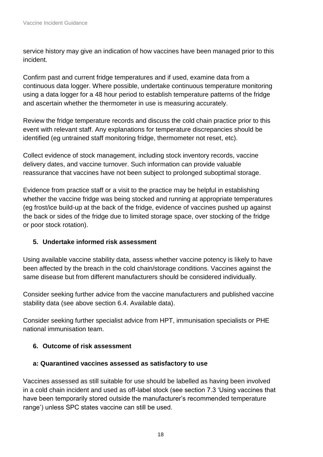service history may give an indication of how vaccines have been managed prior to this incident.

Confirm past and current fridge temperatures and if used, examine data from a continuous data logger. Where possible, undertake continuous temperature monitoring using a data logger for a 48 hour period to establish temperature patterns of the fridge and ascertain whether the thermometer in use is measuring accurately.

Review the fridge temperature records and discuss the cold chain practice prior to this event with relevant staff. Any explanations for temperature discrepancies should be identified (eg untrained staff monitoring fridge, thermometer not reset, etc).

Collect evidence of stock management, including stock inventory records, vaccine delivery dates, and vaccine turnover. Such information can provide valuable reassurance that vaccines have not been subject to prolonged suboptimal storage.

Evidence from practice staff or a visit to the practice may be helpful in establishing whether the vaccine fridge was being stocked and running at appropriate temperatures (eg frost/ice build-up at the back of the fridge, evidence of vaccines pushed up against the back or sides of the fridge due to limited storage space, over stocking of the fridge or poor stock rotation).

#### **5. Undertake informed risk assessment**

Using available vaccine stability data, assess whether vaccine potency is likely to have been affected by the breach in the cold chain/storage conditions. Vaccines against the same disease but from different manufacturers should be considered individually.

Consider seeking further advice from the vaccine manufacturers and published vaccine stability data (see above section 6.4. Available data).

Consider seeking further specialist advice from HPT, immunisation specialists or PHE national immunisation team.

#### **6. Outcome of risk assessment**

#### **a: Quarantined vaccines assessed as satisfactory to use**

Vaccines assessed as still suitable for use should be labelled as having been involved in a cold chain incident and used as off-label stock (see section 7.3 'Using vaccines that have been temporarily stored outside the manufacturer's recommended temperature range') unless SPC states vaccine can still be used.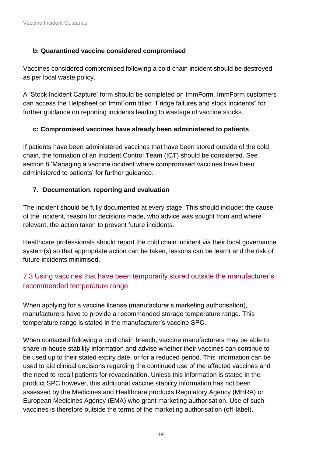#### **b: Quarantined vaccine considered compromised**

Vaccines considered compromised following a cold chain incident should be destroyed as per local waste policy.

A 'Stock Incident Capture' form should be completed on ImmForm. ImmForm customers can access the Helpsheet on ImmForm titled "Fridge failures and stock incidents" for further guidance on reporting incidents leading to wastage of vaccine stocks.

#### **c: Compromised vaccines have already been administered to patients**

If patients have been administered vaccines that have been stored outside of the cold chain, the formation of an Incident Control Team (ICT) should be considered. See section 8 'Managing a vaccine incident where compromised vaccines have been administered to patients' for further guidance.

#### **7. Documentation, reporting and evaluation**

The incident should be fully documented at every stage. This should include: the cause of the incident, reason for decisions made, who advice was sought from and where relevant, the action taken to prevent future incidents.

Healthcare professionals should report the cold chain incident via their local governance system(s) so that appropriate action can be taken, lessons can be learnt and the risk of future incidents minimised.

## 7.3 Using vaccines that have been temporarily stored outside the manufacturer's recommended temperature range

When applying for a vaccine license (manufacturer's marketing authorisation), manufacturers have to provide a recommended storage temperature range. This temperature range is stated in the manufacturer's vaccine SPC.

When contacted following a cold chain breach, vaccine manufacturers may be able to share in-house stability information and advise whether their vaccines can continue to be used up to their stated expiry date, or for a reduced period. This information can be used to aid clinical decisions regarding the continued use of the affected vaccines and the need to recall patients for revaccination. Unless this information is stated in the product SPC however, this additional vaccine stability information has not been assessed by the Medicines and Healthcare products Regulatory Agency (MHRA) or European Medicines Agency (EMA) who grant marketing authorisation. Use of such vaccines is therefore outside the terms of the marketing authorisation (off-label).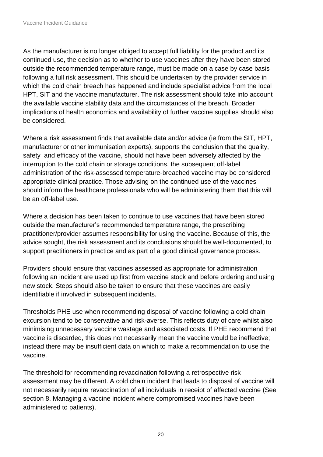As the manufacturer is no longer obliged to accept full liability for the product and its continued use, the decision as to whether to use vaccines after they have been stored outside the recommended temperature range, must be made on a case by case basis following a full risk assessment. This should be undertaken by the provider service in which the cold chain breach has happened and include specialist advice from the local HPT, SIT and the vaccine manufacturer. The risk assessment should take into account the available vaccine stability data and the circumstances of the breach. Broader implications of health economics and availability of further vaccine supplies should also be considered.

Where a risk assessment finds that available data and/or advice (ie from the SIT, HPT, manufacturer or other immunisation experts), supports the conclusion that the quality, safety and efficacy of the vaccine, should not have been adversely affected by the interruption to the cold chain or storage conditions, the subsequent off-label administration of the risk-assessed temperature-breached vaccine may be considered appropriate clinical practice. Those advising on the continued use of the vaccines should inform the healthcare professionals who will be administering them that this will be an off-label use.

Where a decision has been taken to continue to use vaccines that have been stored outside the manufacturer's recommended temperature range, the prescribing practitioner/provider assumes responsibility for using the vaccine. Because of this, the advice sought, the risk assessment and its conclusions should be well-documented, to support practitioners in practice and as part of a good clinical governance process.

Providers should ensure that vaccines assessed as appropriate for administration following an incident are used up first from vaccine stock and before ordering and using new stock. Steps should also be taken to ensure that these vaccines are easily identifiable if involved in subsequent incidents.

Thresholds PHE use when recommending disposal of vaccine following a cold chain excursion tend to be conservative and risk-averse. This reflects duty of care whilst also minimising unnecessary vaccine wastage and associated costs. If PHE recommend that vaccine is discarded, this does not necessarily mean the vaccine would be ineffective; instead there may be insufficient data on which to make a recommendation to use the vaccine.

The threshold for recommending revaccination following a retrospective risk assessment may be different. A cold chain incident that leads to disposal of vaccine will not necessarily require revaccination of all individuals in receipt of affected vaccine (See section 8. Managing a vaccine incident where compromised vaccines have been administered to patients).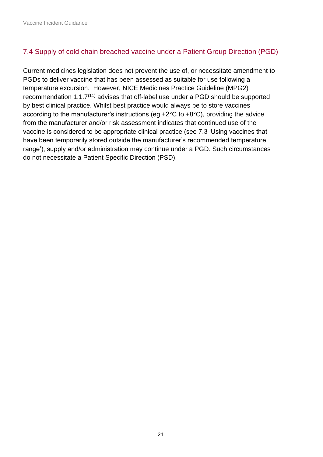### 7.4 Supply of cold chain breached vaccine under a Patient Group Direction (PGD)

<span id="page-20-0"></span>Current medicines legislation does not prevent the use of, or necessitate amendment to PGDs to deliver vaccine that has been assessed as suitable for use following a temperature excursion. However, [NICE Medicines Practice Guideline \(MPG2\)](https://www.nice.org.uk/guidance/mpg2)  recommendation  $1.1.7<sup>(11)</sup>$  advises that off-label use under a PGD should be supported by best clinical practice. Whilst best practice would always be to store vaccines according to the manufacturer's instructions (eg +2°C to +8°C), providing the advice from the manufacturer and/or risk assessment indicates that continued use of the vaccine is considered to be appropriate clinical practice (see 7.3 'Using vaccines that have been temporarily stored outside the manufacturer's recommended temperature range'), supply and/or administration may continue under a PGD. Such circumstances do not necessitate a Patient Specific Direction (PSD).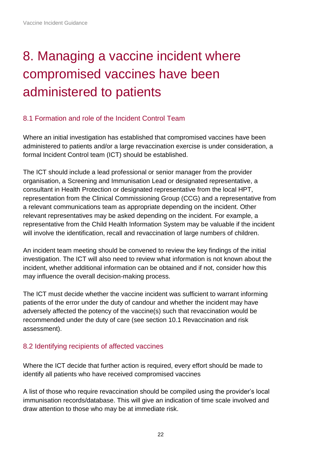# 8. Managing a vaccine incident where compromised vaccines have been administered to patients

#### 8.1 Formation and role of the Incident Control Team

Where an initial investigation has established that compromised vaccines have been administered to patients and/or a large revaccination exercise is under consideration, a formal Incident Control team (ICT) should be established.

The ICT should include a lead professional or senior manager from the provider organisation, a Screening and Immunisation Lead or designated representative, a consultant in Health Protection or designated representative from the local HPT, representation from the Clinical Commissioning Group (CCG) and a representative from a relevant communications team as appropriate depending on the incident. Other relevant representatives may be asked depending on the incident. For example, a representative from the Child Health Information System may be valuable if the incident will involve the identification, recall and revaccination of large numbers of children.

An incident team meeting should be convened to review the key findings of the initial investigation. The ICT will also need to review what information is not known about the incident, whether additional information can be obtained and if not, consider how this may influence the overall decision-making process.

The ICT must decide whether the vaccine incident was sufficient to warrant informing patients of the error under the duty of candour and whether the incident may have adversely affected the potency of the vaccine(s) such that revaccination would be recommended under the duty of care (see section 10.1 Revaccination and risk assessment).

#### 8.2 Identifying recipients of affected vaccines

Where the ICT decide that further action is required, every effort should be made to identify all patients who have received compromised vaccines

A list of those who require revaccination should be compiled using the provider's local immunisation records/database. This will give an indication of time scale involved and draw attention to those who may be at immediate risk.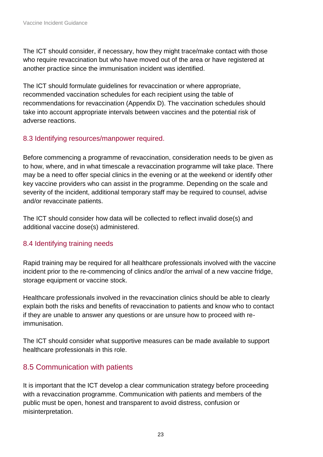The ICT should consider, if necessary, how they might trace/make contact with those who require revaccination but who have moved out of the area or have registered at another practice since the immunisation incident was identified.

The ICT should formulate guidelines for revaccination or where appropriate, recommended vaccination schedules for each recipient using the table of recommendations for revaccination (Appendix D). The vaccination schedules should take into account appropriate intervals between vaccines and the potential risk of adverse reactions.

### 8.3 Identifying resources/manpower required.

Before commencing a programme of revaccination, consideration needs to be given as to how, where, and in what timescale a revaccination programme will take place. There may be a need to offer special clinics in the evening or at the weekend or identify other key vaccine providers who can assist in the programme. Depending on the scale and severity of the incident, additional temporary staff may be required to counsel, advise and/or revaccinate patients.

The ICT should consider how data will be collected to reflect invalid dose(s) and additional vaccine dose(s) administered.

## 8.4 Identifying training needs

Rapid training may be required for all healthcare professionals involved with the vaccine incident prior to the re-commencing of clinics and/or the arrival of a new vaccine fridge, storage equipment or vaccine stock.

Healthcare professionals involved in the revaccination clinics should be able to clearly explain both the risks and benefits of revaccination to patients and know who to contact if they are unable to answer any questions or are unsure how to proceed with reimmunisation.

The ICT should consider what supportive measures can be made available to support healthcare professionals in this role.

## 8.5 Communication with patients

It is important that the ICT develop a clear communication strategy before proceeding with a revaccination programme. Communication with patients and members of the public must be open, honest and transparent to avoid distress, confusion or misinterpretation.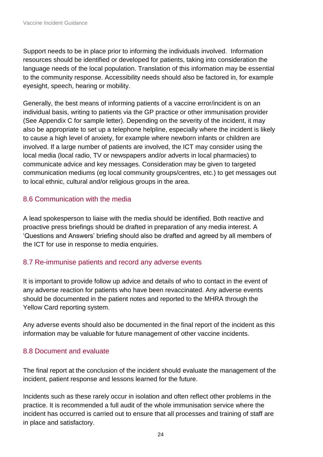Support needs to be in place prior to informing the individuals involved. Information resources should be identified or developed for patients, taking into consideration the language needs of the local population. Translation of this information may be essential to the community response. Accessibility needs should also be factored in, for example eyesight, speech, hearing or mobility.

Generally, the best means of informing patients of a vaccine error/incident is on an individual basis, writing to patients via the GP practice or other immunisation provider (See Appendix C for sample letter). Depending on the severity of the incident, it may also be appropriate to set up a telephone helpline, especially where the incident is likely to cause a high level of anxiety, for example where newborn infants or children are involved. If a large number of patients are involved, the ICT may consider using the local media (local radio, TV or newspapers and/or adverts in local pharmacies) to communicate advice and key messages. Consideration may be given to targeted communication mediums (eg local community groups/centres, etc.) to get messages out to local ethnic, cultural and/or religious groups in the area.

#### 8.6 Communication with the media

A lead spokesperson to liaise with the media should be identified. Both reactive and proactive press briefings should be drafted in preparation of any media interest. A 'Questions and Answers' briefing should also be drafted and agreed by all members of the ICT for use in response to media enquiries.

#### 8.7 Re-immunise patients and record any adverse events

It is important to provide follow up advice and details of who to contact in the event of any adverse reaction for patients who have been revaccinated. Any adverse events should be documented in the patient notes and reported to the MHRA through the Yellow Card reporting system.

Any adverse events should also be documented in the final report of the incident as this information may be valuable for future management of other vaccine incidents.

#### 8.8 Document and evaluate

The final report at the conclusion of the incident should evaluate the management of the incident, patient response and lessons learned for the future.

Incidents such as these rarely occur in isolation and often reflect other problems in the practice. It is recommended a full audit of the whole immunisation service where the incident has occurred is carried out to ensure that all processes and training of staff are in place and satisfactory.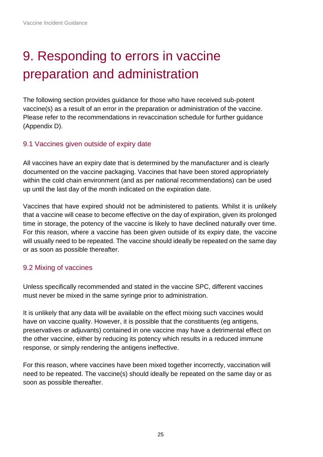# <span id="page-24-0"></span>9. Responding to errors in vaccine preparation and administration

The following section provides guidance for those who have received sub-potent vaccine(s) as a result of an error in the preparation or administration of the vaccine. Please refer to the recommendations in revaccination schedule for further guidance (Appendix D).

#### 9.1 Vaccines given outside of expiry date

All vaccines have an expiry date that is determined by the manufacturer and is clearly documented on the vaccine packaging. Vaccines that have been stored appropriately within the cold chain environment (and as per national recommendations) can be used up until the last day of the month indicated on the expiration date.

Vaccines that have expired should not be administered to patients. Whilst it is unlikely that a vaccine will cease to become effective on the day of expiration, given its prolonged time in storage, the potency of the vaccine is likely to have declined naturally over time. For this reason, where a vaccine has been given outside of its expiry date, the vaccine will usually need to be repeated. The vaccine should ideally be repeated on the same day or as soon as possible thereafter.

#### 9.2 Mixing of vaccines

Unless specifically recommended and stated in the vaccine SPC, different vaccines must never be mixed in the same syringe prior to administration.

It is unlikely that any data will be available on the effect mixing such vaccines would have on vaccine quality. However, it is possible that the constituents (eg antigens, preservatives or adjuvants) contained in one vaccine may have a detrimental effect on the other vaccine, either by reducing its potency which results in a reduced immune response, or simply rendering the antigens ineffective.

For this reason, where vaccines have been mixed together incorrectly, vaccination will need to be repeated. The vaccine(s) should ideally be repeated on the same day or as soon as possible thereafter.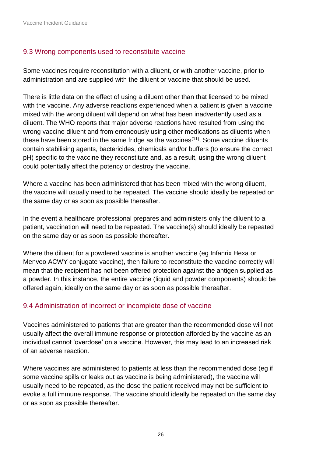Vaccine Incident Guidance

#### 9.3 Wrong components used to reconstitute vaccine

Some vaccines require reconstitution with a diluent, or with another vaccine, prior to administration and are supplied with the diluent or vaccine that should be used.

There is little data on the effect of using a diluent other than that licensed to be mixed with the vaccine. Any adverse reactions experienced when a patient is given a vaccine mixed with the wrong diluent will depend on what has been inadvertently used as a diluent. The WHO reports that major adverse reactions have resulted from using the wrong vaccine diluent and from erroneously using other medications as diluents when these have been stored in the same fridge as the vaccines(11). Some vaccine diluents contain stabilising agents, bactericides, chemicals and/or buffers (to ensure the correct pH) specific to the vaccine they reconstitute and, as a result, using the wrong diluent could potentially affect the potency or destroy the vaccine.

Where a vaccine has been administered that has been mixed with the wrong diluent, the vaccine will usually need to be repeated. The vaccine should ideally be repeated on the same day or as soon as possible thereafter.

In the event a healthcare professional prepares and administers only the diluent to a patient, vaccination will need to be repeated. The vaccine(s) should ideally be repeated on the same day or as soon as possible thereafter.

Where the diluent for a powdered vaccine is another vaccine (eg Infanrix Hexa or Menveo ACWY conjugate vaccine), then failure to reconstitute the vaccine correctly will mean that the recipient has not been offered protection against the antigen supplied as a powder. In this instance, the entire vaccine (liquid and powder components) should be offered again, ideally on the same day or as soon as possible thereafter.

#### 9.4 Administration of incorrect or incomplete dose of vaccine

Vaccines administered to patients that are greater than the recommended dose will not usually affect the overall immune response or protection afforded by the vaccine as an individual cannot 'overdose' on a vaccine. However, this may lead to an increased risk of an adverse reaction.

Where vaccines are administered to patients at less than the recommended dose (eg if some vaccine spills or leaks out as vaccine is being administered), the vaccine will usually need to be repeated, as the dose the patient received may not be sufficient to evoke a full immune response. The vaccine should ideally be repeated on the same day or as soon as possible thereafter.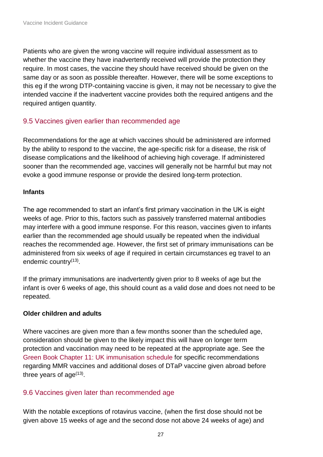Patients who are given the wrong vaccine will require individual assessment as to whether the vaccine they have inadvertently received will provide the protection they require. In most cases, the vaccine they should have received should be given on the same day or as soon as possible thereafter. However, there will be some exceptions to this eg if the wrong DTP-containing vaccine is given, it may not be necessary to give the intended vaccine if the inadvertent vaccine provides both the required antigens and the required antigen quantity.

#### 9.5 Vaccines given earlier than recommended age

Recommendations for the age at which vaccines should be administered are informed by the ability to respond to the vaccine, the age-specific risk for a disease, the risk of disease complications and the likelihood of achieving high coverage. If administered sooner than the recommended age, vaccines will generally not be harmful but may not evoke a good immune response or provide the desired long-term protection.

#### **Infants**

The age recommended to start an infant's first primary vaccination in the UK is eight weeks of age. Prior to this, factors such as passively transferred maternal antibodies may interfere with a good immune response. For this reason, vaccines given to infants earlier than the recommended age should usually be repeated when the individual reaches the recommended age. However, the first set of primary immunisations can be administered from six weeks of age if required in certain circumstances eg travel to an endemic country<sup>(13)</sup>.

If the primary immunisations are inadvertently given prior to 8 weeks of age but the infant is over 6 weeks of age, this should count as a valid dose and does not need to be repeated.

#### **Older children and adults**

Where vaccines are given more than a few months sooner than the scheduled age, consideration should be given to the likely impact this will have on longer term protection and vaccination may need to be repeated at the appropriate age. See the [Green Book Chapter 11: UK immunisation schedule](https://www.gov.uk/government/publications/immunisation-schedule-the-green-book-chapter-11) for specific recommendations regarding MMR vaccines and additional doses of DTaP vaccine given abroad before three years of age $^{(13)}$ .

#### 9.6 Vaccines given later than recommended age

With the notable exceptions of rotavirus vaccine, (when the first dose should not be given above 15 weeks of age and the second dose not above 24 weeks of age) and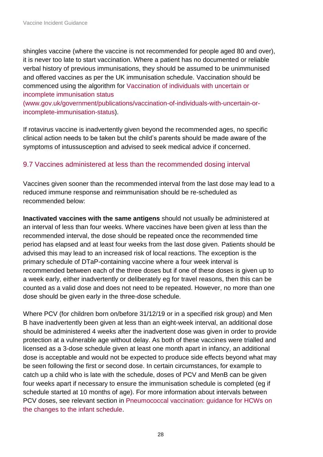shingles vaccine (where the vaccine is not recommended for people aged 80 and over), it is never too late to start vaccination. Where a patient has no documented or reliable verbal history of previous immunisations, they should be assumed to be unimmunised and offered vaccines as per the UK immunisation schedule. Vaccination should be commenced using the algorithm for [Vaccination of individuals with uncertain or](https://www.gov.uk/government/publications/vaccination-of-individuals-with-uncertain-or-incomplete-immunisation-status)  [incomplete immunisation status](https://www.gov.uk/government/publications/vaccination-of-individuals-with-uncertain-or-incomplete-immunisation-status)

[\(www.gov.uk/government/publications/vaccination-of-individuals-with-uncertain-or](https://www.gov.uk/government/publications/vaccination-of-individuals-with-uncertain-or-incomplete-immunisation-status)[incomplete-immunisation-status\)](https://www.gov.uk/government/publications/vaccination-of-individuals-with-uncertain-or-incomplete-immunisation-status).

If rotavirus vaccine is inadvertently given beyond the recommended ages, no specific clinical action needs to be taken but the child's parents should be made aware of the symptoms of intussusception and advised to seek medical advice if concerned.

#### 9.7 Vaccines administered at less than the recommended dosing interval

Vaccines given sooner than the recommended interval from the last dose may lead to a reduced immune response and reimmunisation should be re-scheduled as recommended below:

**Inactivated vaccines with the same antigens** should not usually be administered at an interval of less than four weeks. Where vaccines have been given at less than the recommended interval, the dose should be repeated once the recommended time period has elapsed and at least four weeks from the last dose given. Patients should be advised this may lead to an increased risk of local reactions. The exception is the primary schedule of DTaP-containing vaccine where a four week interval is recommended between each of the three doses but if one of these doses is given up to a week early, either inadvertently or deliberately eg for travel reasons, then this can be counted as a valid dose and does not need to be repeated. However, no more than one dose should be given early in the three-dose schedule.

Where PCV (for children born on/before 31/12/19 or in a specified risk group) and Men B have inadvertently been given at less than an eight-week interval, an additional dose should be administered 4 weeks after the inadvertent dose was given in order to provide protection at a vulnerable age without delay. As both of these vaccines were trialled and licensed as a 3-dose schedule given at least one month apart in infancy, an additional dose is acceptable and would not be expected to produce side effects beyond what may be seen following the first or second dose. In certain circumstances, for example to catch up a child who is late with the schedule, doses of PCV and MenB can be given four weeks apart if necessary to ensure the immunisation schedule is completed (eg if schedule started at 10 months of age). For more information about intervals between PCV doses, see relevant section in [Pneumococcal vaccination: guidance for HCWs on](https://assets.publishing.service.gov.uk/government/uploads/system/uploads/attachment_data/file/849646/PCV_schedule_change_HCP_information.pdf)  [the changes to the infant schedule.](https://assets.publishing.service.gov.uk/government/uploads/system/uploads/attachment_data/file/849646/PCV_schedule_change_HCP_information.pdf)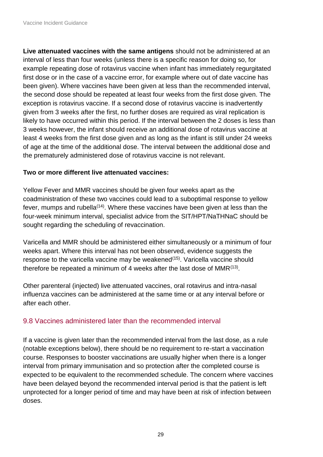**Live attenuated vaccines with the same antigens** should not be administered at an interval of less than four weeks (unless there is a specific reason for doing so, for example repeating dose of rotavirus vaccine when infant has immediately regurgitated first dose or in the case of a vaccine error, for example where out of date vaccine has been given). Where vaccines have been given at less than the recommended interval, the second dose should be repeated at least four weeks from the first dose given. The exception is rotavirus vaccine. If a second dose of rotavirus vaccine is inadvertently given from 3 weeks after the first, no further doses are required as viral replication is likely to have occurred within this period. If the interval between the 2 doses is less than 3 weeks however, the infant should receive an additional dose of rotavirus vaccine at least 4 weeks from the first dose given and as long as the infant is still under 24 weeks of age at the time of the additional dose. The interval between the additional dose and the prematurely administered dose of rotavirus vaccine is not relevant.

#### **Two or more different live attenuated vaccines:**

Yellow Fever and MMR vaccines should be given four weeks apart as the coadministration of these two vaccines could lead to a suboptimal response to yellow fever, mumps and rubella<sup> $(14)$ </sup>. Where these vaccines have been given at less than the four-week minimum interval, specialist advice from the SIT/HPT/NaTHNaC should be sought regarding the scheduling of revaccination.

Varicella and MMR should be administered either simultaneously or a minimum of four weeks apart. Where this interval has not been observed, evidence suggests the response to the varicella vaccine may be weakened<sup>(15)</sup>. Varicella vaccine should therefore be repeated a minimum of 4 weeks after the last dose of MMR $<sup>(13)</sup>$ .</sup>

Other parenteral (injected) live attenuated vaccines, oral rotavirus and intra-nasal influenza vaccines can be administered at the same time or at any interval before or after each other.

### 9.8 Vaccines administered later than the recommended interval

If a vaccine is given later than the recommended interval from the last dose, as a rule (notable exceptions below), there should be no requirement to re-start a vaccination course. Responses to booster vaccinations are usually higher when there is a longer interval from primary immunisation and so protection after the completed course is expected to be equivalent to the recommended schedule. The concern where vaccines have been delayed beyond the recommended interval period is that the patient is left unprotected for a longer period of time and may have been at risk of infection between doses.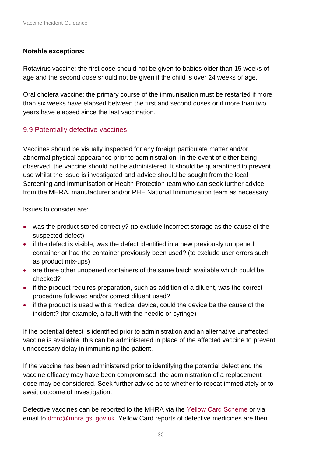#### **Notable exceptions:**

Rotavirus vaccine: the first dose should not be given to babies older than 15 weeks of age and the second dose should not be given if the child is over 24 weeks of age.

Oral cholera vaccine: the primary course of the immunisation must be restarted if more than six weeks have elapsed between the first and second doses or if more than two years have elapsed since the last vaccination.

#### 9.9 Potentially defective vaccines

Vaccines should be visually inspected for any foreign particulate matter and/or abnormal physical appearance prior to administration. In the event of either being observed, the vaccine should not be administered. It should be quarantined to prevent use whilst the issue is investigated and advice should be sought from the local Screening and Immunisation or Health Protection team who can seek further advice from the MHRA, manufacturer and/or PHE National Immunisation team as necessary.

Issues to consider are:

- was the product stored correctly? (to exclude incorrect storage as the cause of the suspected defect)
- if the defect is visible, was the defect identified in a new previously unopened container or had the container previously been used? (to exclude user errors such as product mix-ups)
- are there other unopened containers of the same batch available which could be checked?
- if the product requires preparation, such as addition of a diluent, was the correct procedure followed and/or correct diluent used?
- if the product is used with a medical device, could the device be the cause of the incident? (for example, a fault with the needle or syringe)

If the potential defect is identified prior to administration and an alternative unaffected vaccine is available, this can be administered in place of the affected vaccine to prevent unnecessary delay in immunising the patient.

If the vaccine has been administered prior to identifying the potential defect and the vaccine efficacy may have been compromised, the administration of a replacement dose may be considered. Seek further advice as to whether to repeat immediately or to await outcome of investigation.

Defective vaccines can be reported to the MHRA via the [Yellow Card Scheme](https://yellowcard.mhra.gov.uk/the-yellow-card-scheme/) or via email to [dmrc@mhra.gsi.gov.uk.](mailto:dmrc@mhra.gsi.gov.uk) Yellow Card reports of defective medicines are then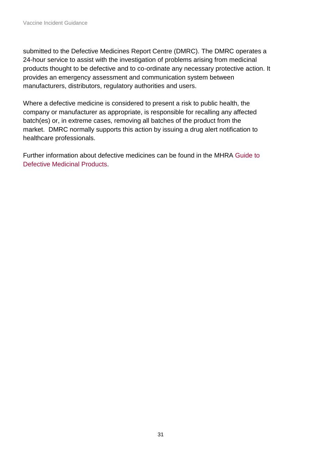submitted to the Defective Medicines Report Centre (DMRC). The DMRC operates a 24-hour service to assist with the investigation of problems arising from medicinal products thought to be defective and to co-ordinate any necessary protective action. It provides an emergency assessment and communication system between manufacturers, distributors, regulatory authorities and users.

Where a defective medicine is considered to present a risk to public health, the company or manufacturer as appropriate, is responsible for recalling any affected batch(es) or, in extreme cases, removing all batches of the product from the market. DMRC normally supports this action by issuing a drug alert notification to healthcare professionals.

<span id="page-30-0"></span>Further information about defective medicines can be found in the MHRA [Guide to](https://www.gov.uk/government/publications/a-guide-to-defective-medicinal-products)  [Defective Medicinal Products.](https://www.gov.uk/government/publications/a-guide-to-defective-medicinal-products)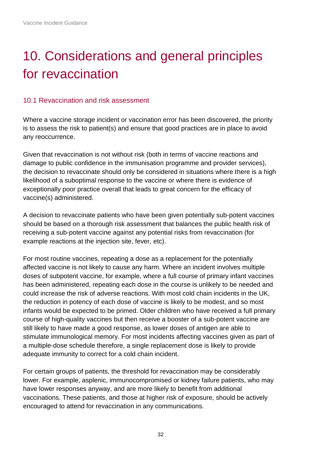# 10. Considerations and general principles for revaccination

#### 10.1 Revaccination and risk assessment

Where a vaccine storage incident or vaccination error has been discovered, the priority is to assess the risk to patient(s) and ensure that good practices are in place to avoid any reoccurrence.

Given that revaccination is not without risk (both in terms of vaccine reactions and damage to public confidence in the immunisation programme and provider services), the decision to revaccinate should only be considered in situations where there is a high likelihood of a suboptimal response to the vaccine or where there is evidence of exceptionally poor practice overall that leads to great concern for the efficacy of vaccine(s) administered.

A decision to revaccinate patients who have been given potentially sub-potent vaccines should be based on a thorough risk assessment that balances the public health risk of receiving a sub-potent vaccine against any potential risks from revaccination (for example reactions at the injection site, fever, etc).

For most routine vaccines, repeating a dose as a replacement for the potentially affected vaccine is not likely to cause any harm. Where an incident involves multiple doses of subpotent vaccine, for example, where a full course of primary infant vaccines has been administered, repeating each dose in the course is unlikely to be needed and could increase the risk of adverse reactions. With most cold chain incidents in the UK, the reduction in potency of each dose of vaccine is likely to be modest, and so most infants would be expected to be primed. Older children who have received a full primary course of high-quality vaccines but then receive a booster of a sub-potent vaccine are still likely to have made a good response, as lower doses of antigen are able to stimulate immunological memory. For most incidents affecting vaccines given as part of a multiple-dose schedule therefore, a single replacement dose is likely to provide adequate immunity to correct for a cold chain incident.

For certain groups of patients, the threshold for revaccination may be considerably lower. For example, asplenic, immunocompromised or kidney failure patients, who may have lower responses anyway, and are more likely to benefit from additional vaccinations. These patients, and those at higher risk of exposure, should be actively encouraged to attend for revaccination in any communications.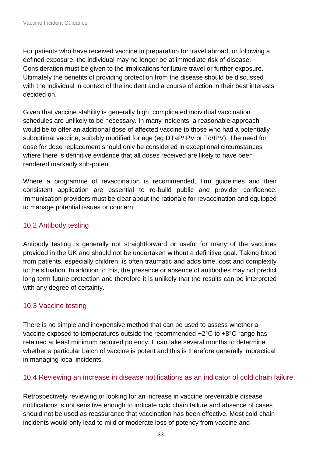For patients who have received vaccine in preparation for travel abroad, or following a defined exposure, the individual may no longer be at immediate risk of disease. Consideration must be given to the implications for future travel or further exposure. Ultimately the benefits of providing protection from the disease should be discussed with the individual in context of the incident and a course of action in their best interests decided on.

Given that vaccine stability is generally high, complicated individual vaccination schedules are unlikely to be necessary. In many incidents, a reasonable approach would be to offer an additional dose of affected vaccine to those who had a potentially suboptimal vaccine, suitably modified for age (eg DTaP/IPV or Td/IPV). The need for dose for dose replacement should only be considered in exceptional circumstances where there is definitive evidence that all doses received are likely to have been rendered markedly sub-potent.

Where a programme of revaccination is recommended, firm guidelines and their consistent application are essential to re-build public and provider confidence. Immunisation providers must be clear about the rationale for revaccination and equipped to manage potential issues or concern.

### 10.2 Antibody testing

Antibody testing is generally not straightforward or useful for many of the vaccines provided in the UK and should not be undertaken without a definitive goal. Taking blood from patients, especially children, is often traumatic and adds time, cost and complexity to the situation. In addition to this, the presence or absence of antibodies may not predict long term future protection and therefore it is unlikely that the results can be interpreted with any degree of certainty.

#### 10.3 Vaccine testing

There is no simple and inexpensive method that can be used to assess whether a vaccine exposed to temperatures outside the recommended +2°C to +8°C range has retained at least minimum required potency. It can take several months to determine whether a particular batch of vaccine is potent and this is therefore generally impractical in managing local incidents.

#### 10.4 Reviewing an increase in disease notifications as an indicator of cold chain failure.

Retrospectively reviewing or looking for an increase in vaccine preventable disease notifications is not sensitive enough to indicate cold chain failure and absence of cases should not be used as reassurance that vaccination has been effective. Most cold chain incidents would only lead to mild or moderate loss of potency from vaccine and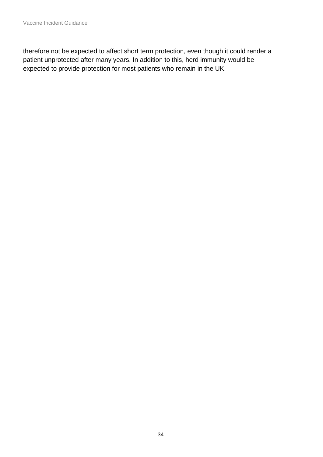<span id="page-33-0"></span>therefore not be expected to affect short term protection, even though it could render a patient unprotected after many years. In addition to this, herd immunity would be expected to provide protection for most patients who remain in the UK.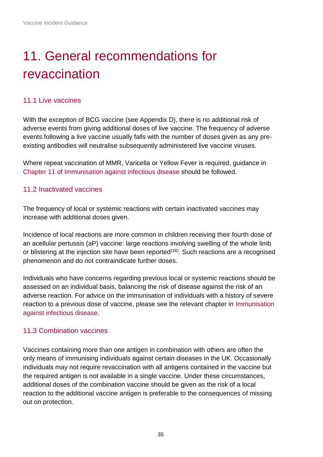# 11. General recommendations for revaccination

#### 11.1 Live vaccines

With the exception of BCG vaccine (see Appendix D), there is no additional risk of adverse events from giving additional doses of live vaccine. The frequency of adverse events following a live vaccine usually falls with the number of doses given as any preexisting antibodies will neutralise subsequently administered live vaccine viruses.

Where repeat vaccination of MMR, Varicella or Yellow Fever is required, guidance in [Chapter 11 of Immunisation against infectious disease](https://www.gov.uk/government/publications/immunisation-schedule-the-green-book-chapter-11) should be followed.

#### 11.2 Inactivated vaccines

The frequency of local or systemic reactions with certain inactivated vaccines may increase with additional doses given.

Incidence of local reactions are more common in children receiving their fourth dose of an acellular pertussis (aP) vaccine: large reactions involving swelling of the whole limb or blistering at the injection site have been reported<sup> $(16)$ </sup>. Such reactions are a recognised phenomenon and do not contraindicate further doses.

Individuals who have concerns regarding previous local or systemic reactions should be assessed on an individual basis, balancing the risk of disease against the risk of an adverse reaction. For advice on the immunisation of individuals with a history of severe reaction to a previous dose of vaccine, please see the relevant chapter in [Immunisation](https://www.gov.uk/government/collections/immunisation-against-infectious-disease-the-green-book)  [against infectious disease.](https://www.gov.uk/government/collections/immunisation-against-infectious-disease-the-green-book)

#### 11.3 Combination vaccines

Vaccines containing more than one antigen in combination with others are often the only means of immunising individuals against certain diseases in the UK. Occasionally individuals may not require revaccination with all antigens contained in the vaccine but the required antigen is not available in a single vaccine. Under these circumstances, additional doses of the combination vaccine should be given as the risk of a local reaction to the additional vaccine antigen is preferable to the consequences of missing out on protection.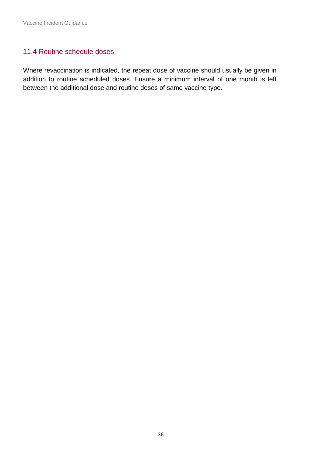#### 11.4 Routine schedule doses

<span id="page-35-0"></span>Where revaccination is indicated, the repeat dose of vaccine should usually be given in addition to routine scheduled doses. Ensure a minimum interval of one month is left between the additional dose and routine doses of same vaccine type.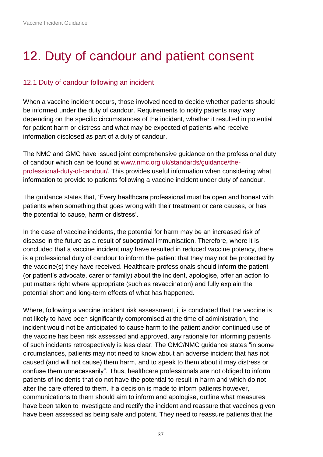## 12. Duty of candour and patient consent

#### 12.1 Duty of candour following an incident

When a vaccine incident occurs, those involved need to decide whether patients should be informed under the duty of candour. Requirements to notify patients may vary depending on the specific circumstances of the incident, whether it resulted in potential for patient harm or distress and what may be expected of patients who receive information disclosed as part of a duty of candour.

The NMC and GMC have issued joint comprehensive guidance on the professional duty of candour which can be found at [www.nmc.org.uk/standards/guidance/the](https://www.nmc.org.uk/standards/guidance/the-professional-duty-of-candour/)[professional-duty-of-candour/.](https://www.nmc.org.uk/standards/guidance/the-professional-duty-of-candour/) This provides useful information when considering what information to provide to patients following a vaccine incident under duty of candour.

The guidance states that, 'Every healthcare professional must be open and honest with patients when something that goes wrong with their treatment or care causes, or has the potential to cause, harm or distress'.

In the case of vaccine incidents, the potential for harm may be an increased risk of disease in the future as a result of suboptimal immunisation. Therefore, where it is concluded that a vaccine incident may have resulted in reduced vaccine potency, there is a professional duty of candour to inform the patient that they may not be protected by the vaccine(s) they have received. Healthcare professionals should inform the patient (or patient's advocate, carer or family) about the incident, apologise, offer an action to put matters right where appropriate (such as revaccination) and fully explain the potential short and long-term effects of what has happened.

Where, following a vaccine incident risk assessment, it is concluded that the vaccine is not likely to have been significantly compromised at the time of administration, the incident would not be anticipated to cause harm to the patient and/or continued use of the vaccine has been risk assessed and approved, any rationale for informing patients of such incidents retrospectively is less clear. The GMC/NMC guidance states "in some circumstances, patients may not need to know about an adverse incident that has not caused (and will not cause) them harm, and to speak to them about it may distress or confuse them unnecessarily". Thus, healthcare professionals are not obliged to inform patients of incidents that do not have the potential to result in harm and which do not alter the care offered to them. If a decision is made to inform patients however, communications to them should aim to inform and apologise, outline what measures have been taken to investigate and rectify the incident and reassure that vaccines given have been assessed as being safe and potent. They need to reassure patients that the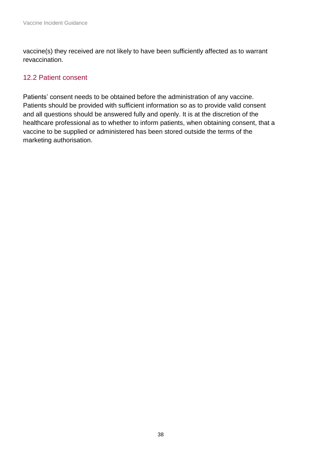vaccine(s) they received are not likely to have been sufficiently affected as to warrant revaccination.

### 12.2 Patient consent

<span id="page-37-0"></span>Patients' consent needs to be obtained before the administration of any vaccine. Patients should be provided with sufficient information so as to provide valid consent and all questions should be answered fully and openly. It is at the discretion of the healthcare professional as to whether to inform patients, when obtaining consent, that a vaccine to be supplied or administered has been stored outside the terms of the marketing authorisation.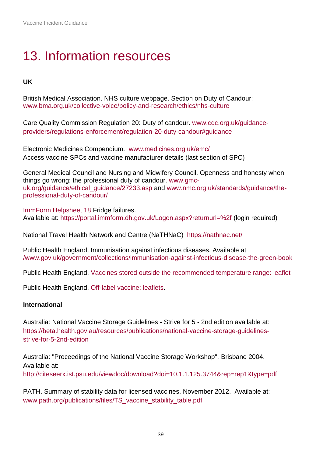## 13. Information resources

#### **UK**

British Medical Association. NHS culture webpage. Section on Duty of Candour: [www.bma.org.uk/collective-voice/policy-and-research/ethics/nhs-culture](https://www.bma.org.uk/collective-voice/policy-and-research/ethics/nhs-culture)

Care Quality Commission Regulation 20: Duty of candour. [www.cqc.org.uk/guidance](https://www.cqc.org.uk/guidance-providers/regulations-enforcement/regulation-20-duty-candour#guidance)[providers/regulations-enforcement/regulation-20-duty-candour#guidance](https://www.cqc.org.uk/guidance-providers/regulations-enforcement/regulation-20-duty-candour#guidance)

Electronic Medicines Compendium. www.medicines.org.uk/emc/ Access vaccine SPCs and vaccine manufacturer details (last section of SPC)

General Medical Council and Nursing and Midwifery Council. Openness and honesty when things go wrong: the professional duty of candour. [www.gmc](http://www.gmc-uk.org/guidance/ethical_guidance/27233.asp)[uk.org/guidance/ethical\\_guidance/27233.asp](http://www.gmc-uk.org/guidance/ethical_guidance/27233.asp) and www.nmc.org.uk/standards/guidance/theprofessional-duty-of-candour/

[ImmForm Helpsheet 18](https://www.gov.uk/government/publications/fridge-failures-immform-helpsheet-18) Fridge failures. Available at:<https://portal.immform.dh.gov.uk/Logon.aspx?returnurl=%2f> (login required)

National Travel Health Network and Centre (NaTHNaC) https://nathnac.net/

Public Health England. Immunisation against infectious diseases. Available at [/www.gov.uk/government/collections/immunisation-against-infectious-disease-the-green-book](https://www.gov.uk/government/collections/immunisation-against-infectious-disease-the-green-book)

Public Health England. [Vaccines stored outside the recommended temperature range: leaflet](https://www.gov.uk/government/publications/vaccines-stored-outside-the-recommended-temperature-range-leaflet)

Public Health England. [Off-label vaccine: leaflets.](https://www.gov.uk/government/publications/off-label-vaccine-leaflets)

#### **International**

Australia: National Vaccine Storage Guidelines - Strive for 5 - 2nd edition available at: [https://beta.health.gov.au/resources/publications/national-vaccine-storage-guidelines](https://beta.health.gov.au/resources/publications/national-vaccine-storage-guidelines-strive-for-5-2nd-edition)[strive-for-5-2nd-edition](https://beta.health.gov.au/resources/publications/national-vaccine-storage-guidelines-strive-for-5-2nd-edition)

Australia: "Proceedings of the National Vaccine Storage Workshop". Brisbane 2004. Available at:

<http://citeseerx.ist.psu.edu/viewdoc/download?doi=10.1.1.125.3744&rep=rep1&type=pdf>

PATH. Summary of stability data for licensed vaccines. November 2012. Available at: [www.path.org/publications/files/TS\\_vaccine\\_stability\\_table.pdf](http://www.path.org/publications/files/TS_vaccine_stability_table.pdf)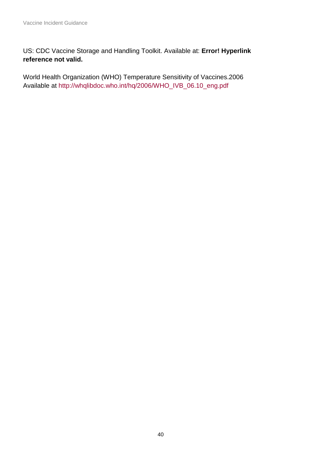US: CDC Vaccine Storage and Handling Toolkit. Available at: **Error! Hyperlink reference not valid.**

World Health Organization (WHO) Temperature Sensitivity of Vaccines.2006 Available at [http://whqlibdoc.who.int/hq/2006/WHO\\_IVB\\_06.10\\_eng.pdf](http://whqlibdoc.who.int/hq/2006/WHO_IVB_06.10_eng.pdf)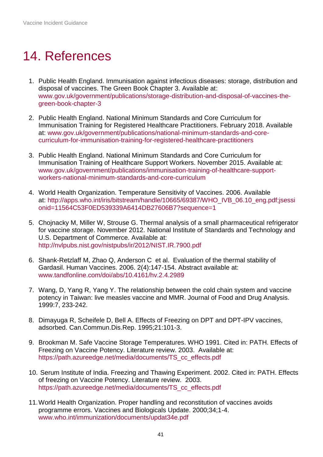## <span id="page-40-0"></span>14. References

- 1. Public Health England. Immunisation against infectious diseases: storage, distribution and disposal of vaccines. The Green Book Chapter 3. Available at: [www.gov.uk/government/publications/storage-distribution-and-disposal-of-vaccines-the](http://www.gov.uk/government/publications/storage-distribution-and-disposal-of-vaccines-the-green-book-chapter-3)[green-book-chapter-3](http://www.gov.uk/government/publications/storage-distribution-and-disposal-of-vaccines-the-green-book-chapter-3)
- 2. Public Health England. National Minimum Standards and Core Curriculum for Immunisation Training for Registered Healthcare Practitioners. February 2018. Available at: [www.gov.uk/government/publications/national-minimum-standards-and-core](http://www.gov.uk/government/publications/national-minimum-standards-and-core-curriculum-for-immunisation-training-for-registered-healthcare-practitioners)[curriculum-for-immunisation-training-for-registered-healthcare-practitioners](http://www.gov.uk/government/publications/national-minimum-standards-and-core-curriculum-for-immunisation-training-for-registered-healthcare-practitioners)
- 3. Public Health England. National Minimum Standards and Core Curriculum for Immunisation Training of Healthcare Support Workers. November 2015. Available at: [www.gov.uk/government/publications/immunisation-training-of-healthcare-support](http://www.gov.uk/government/publications/immunisation-training-of-healthcare-support-workers-national-minimum-standards-and-core-curriculum)[workers-national-minimum-standards-and-core-curriculum](http://www.gov.uk/government/publications/immunisation-training-of-healthcare-support-workers-national-minimum-standards-and-core-curriculum)
- 4. World Health Organization. Temperature Sensitivity of Vaccines. 2006. Available at: [http://apps.who.int/iris/bitstream/handle/10665/69387/WHO\\_IVB\\_06.10\\_eng.pdf;jsessi](http://apps.who.int/iris/bitstream/handle/10665/69387/WHO_IVB_06.10_eng.pdf;jsessionid=11564C53F0ED539339A6414DB27606B7?sequence=1) [onid=11564C53F0ED539339A6414DB27606B7?sequence=1](http://apps.who.int/iris/bitstream/handle/10665/69387/WHO_IVB_06.10_eng.pdf;jsessionid=11564C53F0ED539339A6414DB27606B7?sequence=1)
- 5. Chojnacky M, Miller W, Strouse G. Thermal analysis of a small pharmaceutical refrigerator for vaccine storage. November 2012. National Institute of Standards and Technology and U.S. Department of Commerce. Available at: <http://nvlpubs.nist.gov/nistpubs/ir/2012/NIST.IR.7900.pdf>
- 6. Shank-Retzlaff M, Zhao Q, Anderson C et al. Evaluation of the thermal stability of Gardasil. Human Vaccines. 2006. 2(4):147-154. Abstract available at: [www.tandfonline.com/doi/abs/10.4161/hv.2.4.2989](https://www.tandfonline.com/doi/abs/10.4161/hv.2.4.2989)
- 7. Wang, D, Yang R, Yang Y. The relationship between the cold chain system and vaccine potency in Taiwan: live measles vaccine and MMR. Journal of Food and Drug Analysis. 1999:7, 233-242.
- 8. Dimayuga R, Scheifele D, Bell A. Effects of Freezing on DPT and DPT-IPV vaccines, adsorbed. Can.Commun.Dis.Rep. 1995;21:101-3.
- 9. Brookman M. Safe Vaccine Storage Temperatures. WHO 1991. Cited in: PATH. Effects of Freezing on Vaccine Potency. Literature review. 2003. Available at: [https://path.azureedge.net/media/documents/TS\\_cc\\_effects.pdf](https://path.azureedge.net/media/documents/TS_cc_effects.pdf)
- 10. Serum Institute of India. Freezing and Thawing Experiment. 2002. Cited in: PATH. Effects of freezing on Vaccine Potency. Literature review. 2003. [https://path.azureedge.net/media/documents/TS\\_cc\\_effects.pdf](https://path.azureedge.net/media/documents/TS_cc_effects.pdf)
- 11.World Health Organization. Proper handling and reconstitution of vaccines avoids programme errors. Vaccines and Biologicals Update. 2000;34;1-4. [www.who.int/immunization/documents/updat34e.pdf](http://www.who.int/immunization/documents/updat34e.pdf)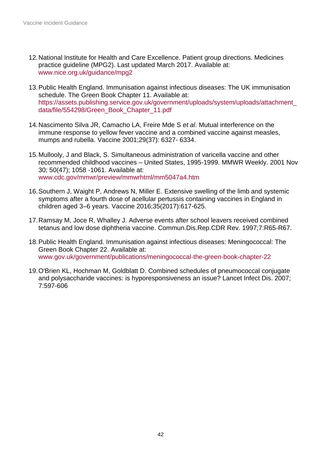- 12.National Institute for Health and Care Excellence. Patient group directions. Medicines practice guideline (MPG2). Last updated March 2017. Available at: [www.nice.org.uk/guidance/mpg2](http://www.nice.org.uk/guidance/mpg2)
- 13.Public Health England. Immunisation against infectious diseases: The UK immunisation schedule. The Green Book Chapter 11. Available at: [https://assets.publishing.service.gov.uk/government/uploads/system/uploads/attachment\\_](https://assets.publishing.service.gov.uk/government/uploads/system/uploads/attachment_data/file/554298/Green_Book_Chapter_11.pdf) [data/file/554298/Green\\_Book\\_Chapter\\_11.pdf](https://assets.publishing.service.gov.uk/government/uploads/system/uploads/attachment_data/file/554298/Green_Book_Chapter_11.pdf)
- 14.Nascimento Silva JR, Camacho LA, Freire Mde S *et al*. Mutual interference on the immune response to yellow fever vaccine and a combined vaccine against measles, mumps and rubella. Vaccine 2001;29(37): 6327- 6334.
- 15.Mullooly, J and Black, S. Simultaneous administration of varicella vaccine and other recommended childhood vaccines – United States, 1995-1999. MMWR Weekly. 2001 Nov 30; 50(47); 1058 -1061. Available at: [www.cdc.gov/mmwr/preview/mmwrhtml/mm5047a4.htm](http://www.cdc.gov/mmwr/preview/mmwrhtml/mm5047a4.htm)
- 16.Southern J, Waight P, Andrews N, Miller E. Extensive swelling of the limb and systemic symptoms after a fourth dose of acellular pertussis containing vaccines in England in children aged 3–6 years. Vaccine 2016;35(2017):617-625.
- 17.Ramsay M, Joce R, Whalley J. Adverse events after school leavers received combined tetanus and low dose diphtheria vaccine. Commun.Dis.Rep.CDR Rev. 1997;7:R65-R67.
- 18.Public Health England. Immunisation against infectious diseases: Meningococcal: The Green Book Chapter 22. Available at: [www.gov.uk/government/publications/meningococcal-the-green-book-chapter-22](https://www.gov.uk/government/publications/meningococcal-the-green-book-chapter-22)
- 19.O'Brien KL, Hochman M, Goldblatt D. Combined schedules of pneumococcal conjugate and polysaccharide vaccines: is hyporesponsiveness an issue? Lancet Infect Dis. 2007; 7:597-606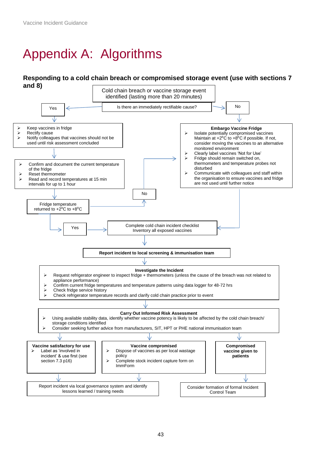# <span id="page-42-0"></span>Appendix A: Algorithms

#### **Responding to a cold chain breach or compromised storage event (use with sections 7 and 8)**

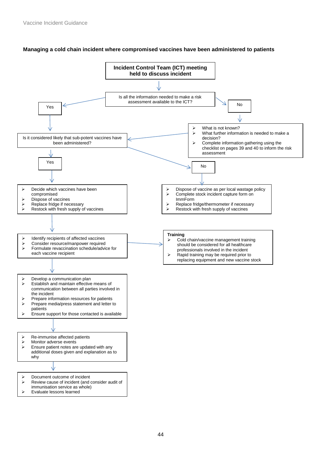

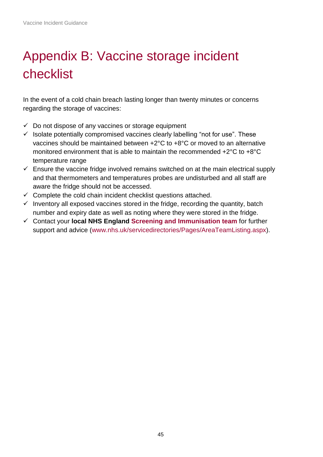# <span id="page-44-0"></span>Appendix B: Vaccine storage incident checklist

In the event of a cold chain breach lasting longer than twenty minutes or concerns regarding the storage of vaccines:

- $\checkmark$  Do not dispose of any vaccines or storage equipment
- $\checkmark$  Isolate potentially compromised vaccines clearly labelling "not for use". These vaccines should be maintained between +2°C to +8°C or moved to an alternative monitored environment that is able to maintain the recommended +2°C to +8°C temperature range
- $\checkmark$  Ensure the vaccine fridge involved remains switched on at the main electrical supply and that thermometers and temperatures probes are undisturbed and all staff are aware the fridge should not be accessed.
- $\checkmark$  Complete the cold chain incident checklist questions attached.
- $\checkmark$  Inventory all exposed vaccines stored in the fridge, recording the quantity, batch number and expiry date as well as noting where they were stored in the fridge.
- ✓ Contact your **local NHS England [Screening and Immunisation team](http://www.nhs.uk/servicedirectories/Pages/AreaTeamListing.aspx)** for further support and advice [\(www.nhs.uk/servicedirectories/Pages/AreaTeamListing.aspx\)](http://www.nhs.uk/servicedirectories/Pages/AreaTeamListing.aspx).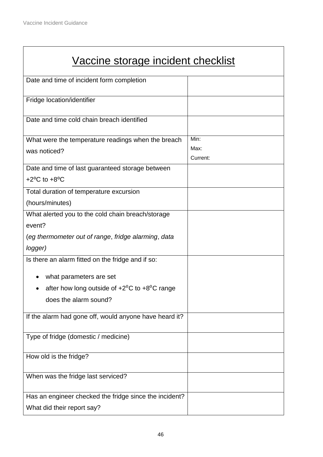| Vaccine storage incident checklist                     |          |
|--------------------------------------------------------|----------|
| Date and time of incident form completion              |          |
| Fridge location/identifier                             |          |
| Date and time cold chain breach identified             |          |
| What were the temperature readings when the breach     | Min:     |
| was noticed?                                           | Max:     |
|                                                        | Current: |
| Date and time of last guaranteed storage between       |          |
| $+2$ <sup>o</sup> C to $+8$ <sup>o</sup> C             |          |
| Total duration of temperature excursion                |          |
| (hours/minutes)                                        |          |
| What alerted you to the cold chain breach/storage      |          |
| event?                                                 |          |
| (eg thermometer out of range, fridge alarming, data    |          |
| logger)                                                |          |
| Is there an alarm fitted on the fridge and if so:      |          |
| what parameters are set                                |          |
| after how long outside of $+2^0C$ to $+8^0C$ range     |          |
| does the alarm sound?                                  |          |
| If the alarm had gone off, would anyone have heard it? |          |
| Type of fridge (domestic / medicine)                   |          |
| How old is the fridge?                                 |          |
| When was the fridge last serviced?                     |          |
| Has an engineer checked the fridge since the incident? |          |
| What did their report say?                             |          |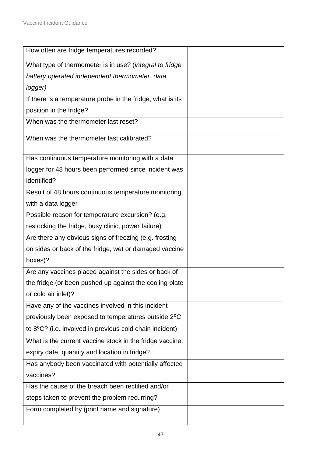| How often are fridge temperatures recorded?                |  |
|------------------------------------------------------------|--|
| What type of thermometer is in use? (integral to fridge,   |  |
| battery operated independent thermometer, data             |  |
| logger)                                                    |  |
| If there is a temperature probe in the fridge, what is its |  |
| position in the fridge?                                    |  |
| When was the thermometer last reset?                       |  |
| When was the thermometer last calibrated?                  |  |
| Has continuous temperature monitoring with a data          |  |
| logger for 48 hours been performed since incident was      |  |
| identified?                                                |  |
| Result of 48 hours continuous temperature monitoring       |  |
| with a data logger                                         |  |
| Possible reason for temperature excursion? (e.g.           |  |
| restocking the fridge, busy clinic, power failure)         |  |
| Are there any obvious signs of freezing (e.g. frosting     |  |
| on sides or back of the fridge, wet or damaged vaccine     |  |
| boxes)?                                                    |  |
| Are any vaccines placed against the sides or back of       |  |
| the fridge (or been pushed up against the cooling plate    |  |
| or cold air inlet)?                                        |  |
| Have any of the vaccines involved in this incident         |  |
| previously been exposed to temperatures outside 2°C        |  |
| to 8°C? (i.e. involved in previous cold chain incident)    |  |
| What is the current vaccine stock in the fridge vaccine,   |  |
| expiry date, quantity and location in fridge?              |  |
| Has anybody been vaccinated with potentially affected      |  |
| vaccines?                                                  |  |
| Has the cause of the breach been rectified and/or          |  |
| steps taken to prevent the problem recurring?              |  |
| Form completed by (print name and signature)               |  |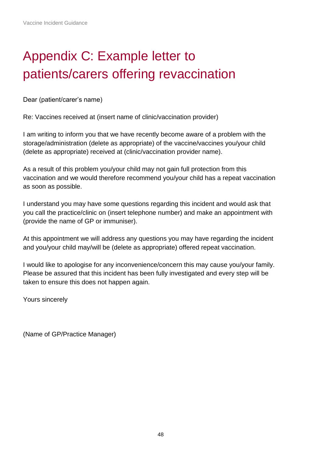## <span id="page-47-0"></span>Appendix C: Example letter to patients/carers offering revaccination

Dear (patient/carer's name)

Re: Vaccines received at (insert name of clinic/vaccination provider)

I am writing to inform you that we have recently become aware of a problem with the storage/administration (delete as appropriate) of the vaccine/vaccines you/your child (delete as appropriate) received at (clinic/vaccination provider name).

As a result of this problem you/your child may not gain full protection from this vaccination and we would therefore recommend you/your child has a repeat vaccination as soon as possible.

I understand you may have some questions regarding this incident and would ask that you call the practice/clinic on (insert telephone number) and make an appointment with (provide the name of GP or immuniser).

At this appointment we will address any questions you may have regarding the incident and you/your child may/will be (delete as appropriate) offered repeat vaccination.

I would like to apologise for any inconvenience/concern this may cause you/your family. Please be assured that this incident has been fully investigated and every step will be taken to ensure this does not happen again.

Yours sincerely

(Name of GP/Practice Manager)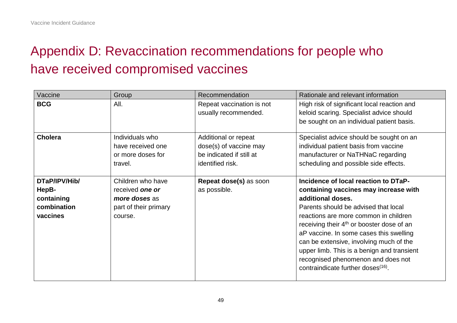## Appendix D: Revaccination recommendations for people who have received compromised vaccines

<span id="page-48-0"></span>

| Vaccine        | Group                 | Recommendation            | Rationale and relevant information                                                    |
|----------------|-----------------------|---------------------------|---------------------------------------------------------------------------------------|
| <b>BCG</b>     | All.                  | Repeat vaccination is not | High risk of significant local reaction and                                           |
|                |                       | usually recommended.      | keloid scaring. Specialist advice should<br>be sought on an individual patient basis. |
|                |                       |                           |                                                                                       |
| <b>Cholera</b> | Individuals who       | Additional or repeat      | Specialist advice should be sought on an                                              |
|                | have received one     | dose(s) of vaccine may    | individual patient basis from vaccine                                                 |
|                | or more doses for     | be indicated if still at  | manufacturer or NaTHNaC regarding                                                     |
|                | travel.               | identified risk.          | scheduling and possible side effects.                                                 |
|                |                       |                           |                                                                                       |
| DTaP/IPV/Hib/  | Children who have     | Repeat dose(s) as soon    | Incidence of local reaction to DTaP-                                                  |
| HepB-          | received one or       | as possible.              | containing vaccines may increase with                                                 |
| containing     | more doses as         |                           | additional doses.                                                                     |
| combination    | part of their primary |                           | Parents should be advised that local                                                  |
| vaccines       | course.               |                           | reactions are more common in children                                                 |
|                |                       |                           | receiving their 4 <sup>th</sup> or booster dose of an                                 |
|                |                       |                           | aP vaccine. In some cases this swelling                                               |
|                |                       |                           | can be extensive, involving much of the                                               |
|                |                       |                           | upper limb. This is a benign and transient                                            |
|                |                       |                           | recognised phenomenon and does not                                                    |
|                |                       |                           | contraindicate further doses <sup>(16)</sup> .                                        |
|                |                       |                           |                                                                                       |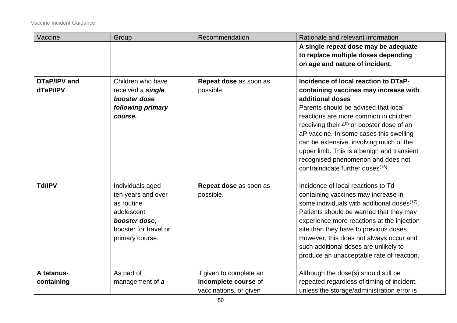| Vaccine             | Group                 | Recommendation          | Rationale and relevant information                       |
|---------------------|-----------------------|-------------------------|----------------------------------------------------------|
|                     |                       |                         | A single repeat dose may be adequate                     |
|                     |                       |                         | to replace multiple doses depending                      |
|                     |                       |                         | on age and nature of incident.                           |
|                     |                       |                         |                                                          |
| <b>DTaP/IPV and</b> | Children who have     | Repeat dose as soon as  | Incidence of local reaction to DTaP-                     |
| dTaP/IPV            | received a single     | possible.               | containing vaccines may increase with                    |
|                     | booster dose          |                         | additional doses                                         |
|                     | following primary     |                         | Parents should be advised that local                     |
|                     | course.               |                         | reactions are more common in children                    |
|                     |                       |                         | receiving their 4 <sup>th</sup> or booster dose of an    |
|                     |                       |                         | aP vaccine. In some cases this swelling                  |
|                     |                       |                         | can be extensive, involving much of the                  |
|                     |                       |                         | upper limb. This is a benign and transient               |
|                     |                       |                         | recognised phenomenon and does not                       |
|                     |                       |                         | contraindicate further doses <sup>(16)</sup> .           |
|                     |                       |                         |                                                          |
| <b>Td/IPV</b>       | Individuals aged      | Repeat dose as soon as  | Incidence of local reactions to Td-                      |
|                     | ten years and over    | possible.               | containing vaccines may increase in                      |
|                     | as routine            |                         | some individuals with additional doses <sup>(17)</sup> . |
|                     | adolescent            |                         | Patients should be warned that they may                  |
|                     | booster dose,         |                         | experience more reactions at the injection               |
|                     | booster for travel or |                         | site than they have to previous doses.                   |
|                     | primary course.       |                         | However, this does not always occur and                  |
|                     |                       |                         | such additional doses are unlikely to                    |
|                     |                       |                         | produce an unacceptable rate of reaction.                |
| A tetanus-          | As part of            | If given to complete an | Although the dose(s) should still be                     |
| containing          | management of a       | incomplete course of    | repeated regardless of timing of incident,               |
|                     |                       | vaccinations, or given  | unless the storage/administration error is               |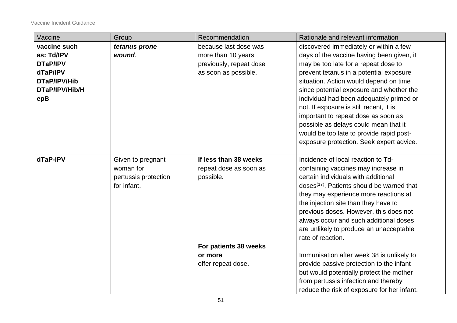Vaccine Incident Guidance

| Vaccine         | Group                | Recommendation          | Rationale and relevant information                     |
|-----------------|----------------------|-------------------------|--------------------------------------------------------|
| vaccine such    | tetanus prone        | because last dose was   | discovered immediately or within a few                 |
| as: Td/IPV      | wound.               | more than 10 years      | days of the vaccine having been given, it              |
| <b>DTaP/IPV</b> |                      | previously, repeat dose | may be too late for a repeat dose to                   |
| dTaP/IPV        |                      | as soon as possible.    | prevent tetanus in a potential exposure                |
| DTaP/IPV/Hib    |                      |                         | situation. Action would depend on time                 |
| DTaP/IPV/Hib/H  |                      |                         | since potential exposure and whether the               |
| epB             |                      |                         | individual had been adequately primed or               |
|                 |                      |                         | not. If exposure is still recent, it is                |
|                 |                      |                         | important to repeat dose as soon as                    |
|                 |                      |                         | possible as delays could mean that it                  |
|                 |                      |                         | would be too late to provide rapid post-               |
|                 |                      |                         | exposure protection. Seek expert advice.               |
|                 |                      |                         |                                                        |
| dTaP-IPV        | Given to pregnant    | If less than 38 weeks   | Incidence of local reaction to Td-                     |
|                 | woman for            | repeat dose as soon as  | containing vaccines may increase in                    |
|                 | pertussis protection | possible.               | certain individuals with additional                    |
|                 | for infant.          |                         | doses <sup>(17)</sup> . Patients should be warned that |
|                 |                      |                         | they may experience more reactions at                  |
|                 |                      |                         | the injection site than they have to                   |
|                 |                      |                         | previous doses. However, this does not                 |
|                 |                      |                         | always occur and such additional doses                 |
|                 |                      |                         | are unlikely to produce an unacceptable                |
|                 |                      |                         | rate of reaction.                                      |
|                 |                      | For patients 38 weeks   |                                                        |
|                 |                      | or more                 | Immunisation after week 38 is unlikely to              |
|                 |                      | offer repeat dose.      | provide passive protection to the infant               |
|                 |                      |                         | but would potentially protect the mother               |
|                 |                      |                         | from pertussis infection and thereby                   |
|                 |                      |                         | reduce the risk of exposure for her infant.            |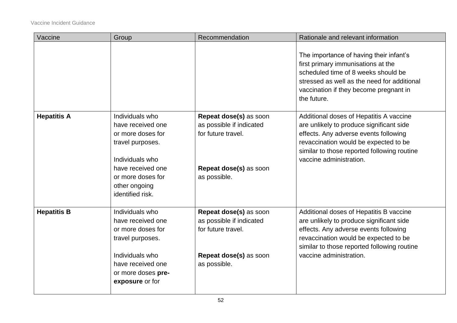| Vaccine            | Group                                                                                                                                                                           | Recommendation                                                                                                     | Rationale and relevant information                                                                                                                                                                                                              |
|--------------------|---------------------------------------------------------------------------------------------------------------------------------------------------------------------------------|--------------------------------------------------------------------------------------------------------------------|-------------------------------------------------------------------------------------------------------------------------------------------------------------------------------------------------------------------------------------------------|
|                    |                                                                                                                                                                                 |                                                                                                                    | The importance of having their infant's<br>first primary immunisations at the<br>scheduled time of 8 weeks should be<br>stressed as well as the need for additional<br>vaccination if they become pregnant in<br>the future.                    |
| <b>Hepatitis A</b> | Individuals who<br>have received one<br>or more doses for<br>travel purposes.<br>Individuals who<br>have received one<br>or more doses for<br>other ongoing<br>identified risk. | Repeat dose(s) as soon<br>as possible if indicated<br>for future travel.<br>Repeat dose(s) as soon<br>as possible. | Additional doses of Hepatitis A vaccine<br>are unlikely to produce significant side<br>effects. Any adverse events following<br>revaccination would be expected to be<br>similar to those reported following routine<br>vaccine administration. |
| <b>Hepatitis B</b> | Individuals who<br>have received one<br>or more doses for<br>travel purposes.<br>Individuals who<br>have received one<br>or more doses pre-<br>exposure or for                  | Repeat dose(s) as soon<br>as possible if indicated<br>for future travel.<br>Repeat dose(s) as soon<br>as possible. | Additional doses of Hepatitis B vaccine<br>are unlikely to produce significant side<br>effects. Any adverse events following<br>revaccination would be expected to be<br>similar to those reported following routine<br>vaccine administration. |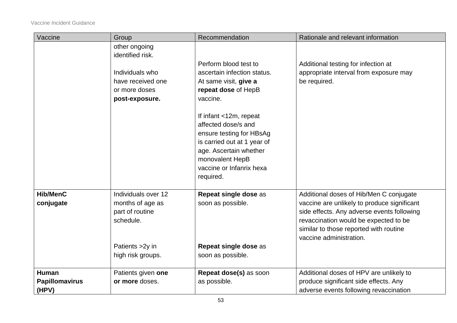| Vaccine                                        | Group                                                                                                            | Recommendation                                                                                                                                                                                                                                                                                                     | Rationale and relevant information                                                                                                                                                                                                                 |
|------------------------------------------------|------------------------------------------------------------------------------------------------------------------|--------------------------------------------------------------------------------------------------------------------------------------------------------------------------------------------------------------------------------------------------------------------------------------------------------------------|----------------------------------------------------------------------------------------------------------------------------------------------------------------------------------------------------------------------------------------------------|
|                                                | other ongoing<br>identified risk.<br>Individuals who<br>have received one<br>or more doses<br>post-exposure.     | Perform blood test to<br>ascertain infection status.<br>At same visit, give a<br>repeat dose of HepB<br>vaccine.<br>If infant <12m, repeat<br>affected dose/s and<br>ensure testing for HBsAg<br>is carried out at 1 year of<br>age. Ascertain whether<br>monovalent HepB<br>vaccine or Infanrix hexa<br>required. | Additional testing for infection at<br>appropriate interval from exposure may<br>be required.                                                                                                                                                      |
| <b>Hib/MenC</b><br>conjugate                   | Individuals over 12<br>months of age as<br>part of routine<br>schedule.<br>Patients > 2y in<br>high risk groups. | Repeat single dose as<br>soon as possible.<br>Repeat single dose as<br>soon as possible.                                                                                                                                                                                                                           | Additional doses of Hib/Men C conjugate<br>vaccine are unlikely to produce significant<br>side effects. Any adverse events following<br>revaccination would be expected to be<br>similar to those reported with routine<br>vaccine administration. |
| <b>Human</b><br><b>Papillomavirus</b><br>(HPV) | Patients given one<br>or more doses.                                                                             | Repeat dose(s) as soon<br>as possible.                                                                                                                                                                                                                                                                             | Additional doses of HPV are unlikely to<br>produce significant side effects. Any<br>adverse events following revaccination                                                                                                                         |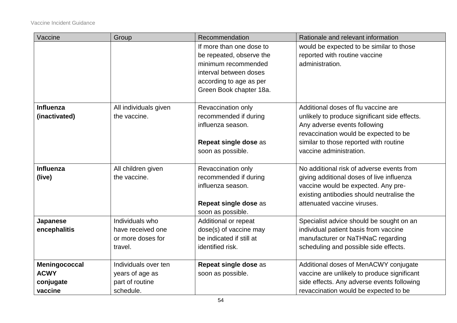| Vaccine       | Group                 | Recommendation           | Rationale and relevant information            |
|---------------|-----------------------|--------------------------|-----------------------------------------------|
|               |                       | If more than one dose to | would be expected to be similar to those      |
|               |                       | be repeated, observe the | reported with routine vaccine                 |
|               |                       | minimum recommended      | administration.                               |
|               |                       | interval between doses   |                                               |
|               |                       | according to age as per  |                                               |
|               |                       | Green Book chapter 18a.  |                                               |
|               |                       |                          |                                               |
| Influenza     | All individuals given | Revaccination only       | Additional doses of flu vaccine are           |
| (inactivated) | the vaccine.          | recommended if during    | unlikely to produce significant side effects. |
|               |                       | influenza season.        | Any adverse events following                  |
|               |                       |                          | revaccination would be expected to be         |
|               |                       | Repeat single dose as    | similar to those reported with routine        |
|               |                       | soon as possible.        | vaccine administration.                       |
|               |                       |                          |                                               |
| Influenza     | All children given    | Revaccination only       | No additional risk of adverse events from     |
| (live)        | the vaccine.          | recommended if during    | giving additional doses of live influenza     |
|               |                       | influenza season.        | vaccine would be expected. Any pre-           |
|               |                       |                          | existing antibodies should neutralise the     |
|               |                       | Repeat single dose as    | attenuated vaccine viruses.                   |
|               |                       | soon as possible.        |                                               |
| Japanese      | Individuals who       | Additional or repeat     | Specialist advice should be sought on an      |
| encephalitis  | have received one     | dose(s) of vaccine may   | individual patient basis from vaccine         |
|               | or more doses for     | be indicated if still at | manufacturer or NaTHNaC regarding             |
|               | travel.               | identified risk.         | scheduling and possible side effects.         |
|               |                       |                          |                                               |
| Meningococcal | Individuals over ten  | Repeat single dose as    | Additional doses of MenACWY conjugate         |
| <b>ACWY</b>   | years of age as       | soon as possible.        | vaccine are unlikely to produce significant   |
| conjugate     | part of routine       |                          | side effects. Any adverse events following    |
| vaccine       | schedule.             |                          | revaccination would be expected to be         |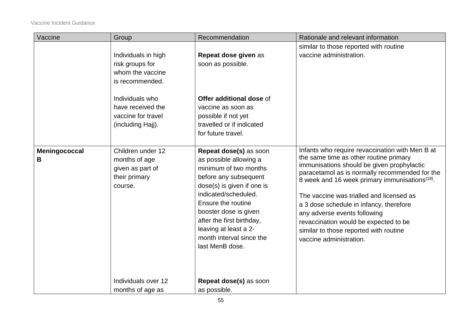| Vaccine       | Group                             | Recommendation                                      | Rationale and relevant information                                                        |
|---------------|-----------------------------------|-----------------------------------------------------|-------------------------------------------------------------------------------------------|
|               |                                   |                                                     | similar to those reported with routine                                                    |
|               | Individuals in high               | Repeat dose given as                                | vaccine administration.                                                                   |
|               | risk groups for                   | soon as possible.                                   |                                                                                           |
|               | whom the vaccine                  |                                                     |                                                                                           |
|               | is recommended.                   |                                                     |                                                                                           |
|               | Individuals who                   | Offer additional dose of                            |                                                                                           |
|               | have received the                 | vaccine as soon as                                  |                                                                                           |
|               | vaccine for travel                | possible if not yet                                 |                                                                                           |
|               | (including Hajj).                 | travelled or if indicated                           |                                                                                           |
|               |                                   | for future travel.                                  |                                                                                           |
|               |                                   |                                                     |                                                                                           |
| Meningococcal | Children under 12                 | Repeat dose(s) as soon                              | Infants who require revaccination with Men B at<br>the same time as other routine primary |
| В             | months of age                     | as possible allowing a                              | immunisations should be given prophylactic                                                |
|               | given as part of<br>their primary | minimum of two months                               | paracetamol as is normally recommended for the                                            |
|               | course.                           | before any subsequent<br>dose(s) is given if one is | 8 week and 16 week primary immunisations <sup>(18)</sup> .                                |
|               |                                   | indicated/scheduled.                                | The vaccine was trialled and licensed as                                                  |
|               |                                   | Ensure the routine                                  | a 3 dose schedule in infancy, therefore                                                   |
|               |                                   | booster dose is given                               | any adverse events following                                                              |
|               |                                   | after the first birthday,                           | revaccination would be expected to be                                                     |
|               |                                   | leaving at least a 2-                               | similar to those reported with routine                                                    |
|               |                                   | month interval since the                            | vaccine administration.                                                                   |
|               |                                   | last MenB dose.                                     |                                                                                           |
|               |                                   |                                                     |                                                                                           |
|               |                                   |                                                     |                                                                                           |
|               | Individuals over 12               | Repeat dose(s) as soon                              |                                                                                           |
|               | months of age as                  | as possible.                                        |                                                                                           |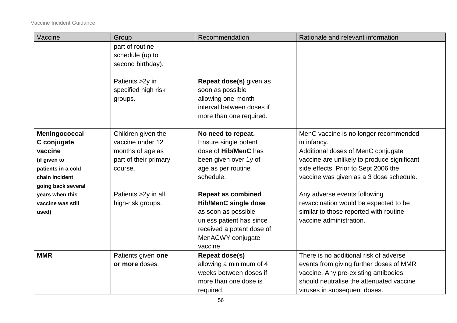| Vaccine            | Group                 | Recommendation              | Rationale and relevant information          |
|--------------------|-----------------------|-----------------------------|---------------------------------------------|
|                    | part of routine       |                             |                                             |
|                    | schedule (up to       |                             |                                             |
|                    | second birthday).     |                             |                                             |
|                    |                       |                             |                                             |
|                    | Patients > 2y in      | Repeat dose(s) given as     |                                             |
|                    | specified high risk   | soon as possible            |                                             |
|                    | groups.               | allowing one-month          |                                             |
|                    |                       | interval between doses if   |                                             |
|                    |                       | more than one required.     |                                             |
|                    |                       |                             |                                             |
| Meningococcal      | Children given the    | No need to repeat.          | MenC vaccine is no longer recommended       |
| C conjugate        | vaccine under 12      | Ensure single potent        | in infancy.                                 |
| vaccine            | months of age as      | dose of Hib/MenC has        | Additional doses of MenC conjugate          |
| (if given to       | part of their primary | been given over 1y of       | vaccine are unlikely to produce significant |
| patients in a cold | course.               | age as per routine          | side effects. Prior to Sept 2006 the        |
| chain incident     |                       | schedule.                   | vaccine was given as a 3 dose schedule.     |
| going back several |                       |                             |                                             |
| years when this    | Patients > 2y in all  | <b>Repeat as combined</b>   | Any adverse events following                |
| vaccine was still  | high-risk groups.     | <b>Hib/MenC single dose</b> | revaccination would be expected to be       |
| used)              |                       | as soon as possible         | similar to those reported with routine      |
|                    |                       | unless patient has since    | vaccine administration.                     |
|                    |                       | received a potent dose of   |                                             |
|                    |                       | MenACWY conjugate           |                                             |
|                    |                       | vaccine.                    |                                             |
| <b>MMR</b>         | Patients given one    | <b>Repeat dose(s)</b>       | There is no additional risk of adverse      |
|                    | or more doses.        | allowing a minimum of 4     | events from giving further doses of MMR     |
|                    |                       | weeks between doses if      | vaccine. Any pre-existing antibodies        |
|                    |                       | more than one dose is       | should neutralise the attenuated vaccine    |
|                    |                       | required.                   | viruses in subsequent doses.                |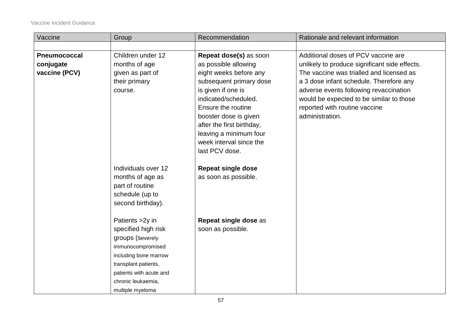| Vaccine             | Group                                                                                              | Recommendation                                    | Rationale and relevant information            |
|---------------------|----------------------------------------------------------------------------------------------------|---------------------------------------------------|-----------------------------------------------|
|                     |                                                                                                    |                                                   |                                               |
| <b>Pneumococcal</b> | Children under 12                                                                                  | Repeat dose(s) as soon                            | Additional doses of PCV vaccine are           |
| conjugate           | months of age                                                                                      | as possible allowing                              | unlikely to produce significant side effects. |
| vaccine (PCV)       | given as part of                                                                                   | eight weeks before any                            | The vaccine was trialled and licensed as      |
|                     | their primary                                                                                      | subsequent primary dose                           | a 3 dose infant schedule. Therefore any       |
|                     | course.                                                                                            | is given if one is                                | adverse events following revaccination        |
|                     |                                                                                                    | indicated/scheduled.                              | would be expected to be similar to those      |
|                     |                                                                                                    | Ensure the routine                                | reported with routine vaccine                 |
|                     |                                                                                                    | booster dose is given                             | administration.                               |
|                     |                                                                                                    | after the first birthday,                         |                                               |
|                     |                                                                                                    | leaving a minimum four                            |                                               |
|                     |                                                                                                    | week interval since the                           |                                               |
|                     |                                                                                                    | last PCV dose.                                    |                                               |
|                     | Individuals over 12<br>months of age as<br>part of routine<br>schedule (up to<br>second birthday). | <b>Repeat single dose</b><br>as soon as possible. |                                               |
|                     | Patients > 2y in                                                                                   | Repeat single dose as                             |                                               |
|                     | specified high risk                                                                                | soon as possible.                                 |                                               |
|                     | groups (Severely                                                                                   |                                                   |                                               |
|                     | immunocompromised                                                                                  |                                                   |                                               |
|                     | including bone marrow                                                                              |                                                   |                                               |
|                     | transplant patients,                                                                               |                                                   |                                               |
|                     | patients with acute and                                                                            |                                                   |                                               |
|                     | chronic leukaemia,                                                                                 |                                                   |                                               |
|                     | multiple myeloma                                                                                   |                                                   |                                               |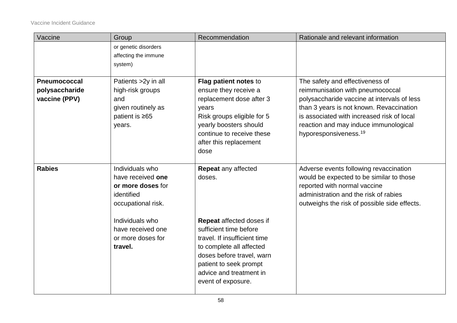| The safety and effectiveness of<br>reimmunisation with pneumococcal                                                                                                                                         |
|-------------------------------------------------------------------------------------------------------------------------------------------------------------------------------------------------------------|
|                                                                                                                                                                                                             |
| polysaccharide vaccine at intervals of less<br>than 3 years is not known. Revaccination<br>is associated with increased risk of local<br>reaction and may induce immunological                              |
| Adverse events following revaccination<br>would be expected to be similar to those<br>reported with normal vaccine<br>administration and the risk of rabies<br>outweighs the risk of possible side effects. |
|                                                                                                                                                                                                             |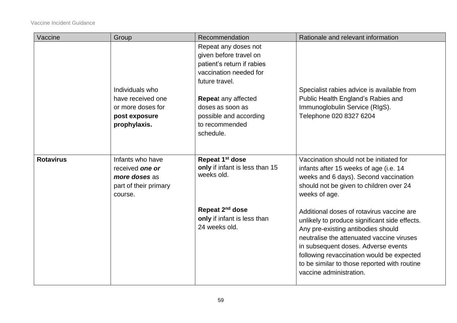| Vaccine          | Group                                                                                    | Recommendation                                                                                                                                         | Rationale and relevant information                                                                                                                                                                                                                                                                                                           |
|------------------|------------------------------------------------------------------------------------------|--------------------------------------------------------------------------------------------------------------------------------------------------------|----------------------------------------------------------------------------------------------------------------------------------------------------------------------------------------------------------------------------------------------------------------------------------------------------------------------------------------------|
|                  | Individuals who<br>have received one                                                     | Repeat any doses not<br>given before travel on<br>patient's return if rabies<br>vaccination needed for<br>future travel.<br><b>Repeat any affected</b> | Specialist rabies advice is available from<br>Public Health England's Rabies and                                                                                                                                                                                                                                                             |
|                  | or more doses for<br>post exposure<br>prophylaxis.                                       | doses as soon as<br>possible and according<br>to recommended<br>schedule.                                                                              | Immunoglobulin Service (RIgS).<br>Telephone 020 8327 6204                                                                                                                                                                                                                                                                                    |
| <b>Rotavirus</b> | Infants who have<br>received one or<br>more doses as<br>part of their primary<br>course. | Repeat 1 <sup>st</sup> dose<br>only if infant is less than 15<br>weeks old.                                                                            | Vaccination should not be initiated for<br>infants after 15 weeks of age (i.e. 14<br>weeks and 6 days). Second vaccination<br>should not be given to children over 24<br>weeks of age.                                                                                                                                                       |
|                  |                                                                                          | Repeat 2 <sup>nd</sup> dose<br>only if infant is less than<br>24 weeks old.                                                                            | Additional doses of rotavirus vaccine are<br>unlikely to produce significant side effects.<br>Any pre-existing antibodies should<br>neutralise the attenuated vaccine viruses<br>in subsequent doses. Adverse events<br>following revaccination would be expected<br>to be similar to those reported with routine<br>vaccine administration. |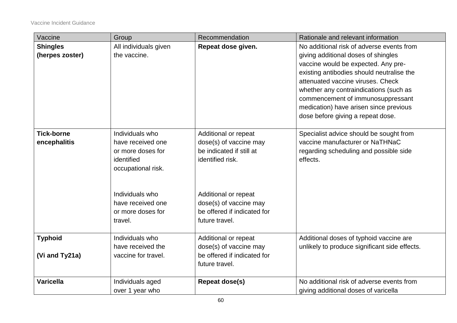| Vaccine           | Group                 | Recommendation              | Rationale and relevant information            |
|-------------------|-----------------------|-----------------------------|-----------------------------------------------|
| <b>Shingles</b>   | All individuals given | Repeat dose given.          | No additional risk of adverse events from     |
| (herpes zoster)   | the vaccine.          |                             | giving additional doses of shingles           |
|                   |                       |                             | vaccine would be expected. Any pre-           |
|                   |                       |                             | existing antibodies should neutralise the     |
|                   |                       |                             | attenuated vaccine viruses. Check             |
|                   |                       |                             | whether any contraindications (such as        |
|                   |                       |                             | commencement of immunosuppressant             |
|                   |                       |                             | medication) have arisen since previous        |
|                   |                       |                             | dose before giving a repeat dose.             |
|                   |                       |                             |                                               |
| <b>Tick-borne</b> | Individuals who       | Additional or repeat        | Specialist advice should be sought from       |
| encephalitis      | have received one     | dose(s) of vaccine may      | vaccine manufacturer or NaTHNaC               |
|                   | or more doses for     | be indicated if still at    | regarding scheduling and possible side        |
|                   | identified            | identified risk.            | effects.                                      |
|                   | occupational risk.    |                             |                                               |
|                   |                       |                             |                                               |
|                   | Individuals who       | Additional or repeat        |                                               |
|                   | have received one     | dose(s) of vaccine may      |                                               |
|                   | or more doses for     | be offered if indicated for |                                               |
|                   | travel.               | future travel.              |                                               |
|                   |                       |                             |                                               |
| <b>Typhoid</b>    | Individuals who       | Additional or repeat        | Additional doses of typhoid vaccine are       |
|                   | have received the     | dose(s) of vaccine may      | unlikely to produce significant side effects. |
| (Vi and Ty21a)    | vaccine for travel.   | be offered if indicated for |                                               |
|                   |                       | future travel.              |                                               |
|                   |                       |                             |                                               |
| <b>Varicella</b>  | Individuals aged      | <b>Repeat dose(s)</b>       | No additional risk of adverse events from     |
|                   | over 1 year who       |                             | giving additional doses of varicella          |